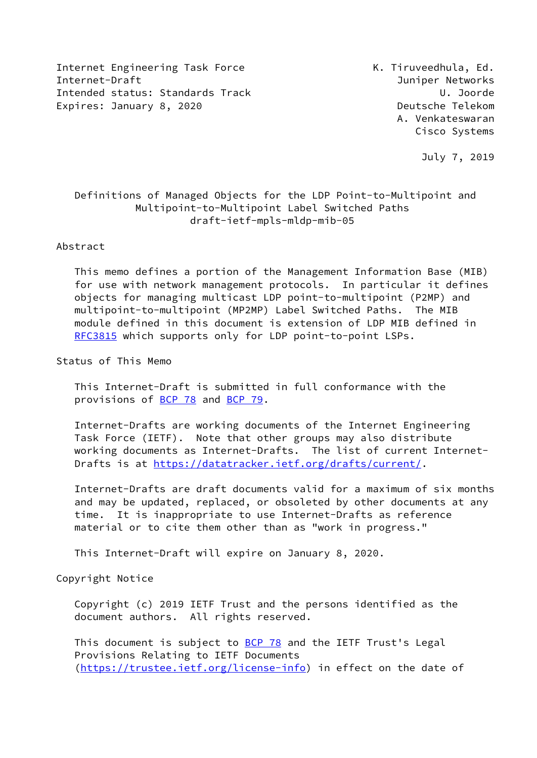Internet Engineering Task Force **K. Tiruveedhula, Ed.** Internet-Draft Juniper Networks Intended status: Standards Track U. Joorde Expires: January 8, 2020 **Deutsche Telekom** 

 A. Venkateswaran Cisco Systems

July 7, 2019

# Definitions of Managed Objects for the LDP Point-to-Multipoint and Multipoint-to-Multipoint Label Switched Paths draft-ietf-mpls-mldp-mib-05

#### Abstract

 This memo defines a portion of the Management Information Base (MIB) for use with network management protocols. In particular it defines objects for managing multicast LDP point-to-multipoint (P2MP) and multipoint-to-multipoint (MP2MP) Label Switched Paths. The MIB module defined in this document is extension of LDP MIB defined in [RFC3815](https://datatracker.ietf.org/doc/pdf/rfc3815) which supports only for LDP point-to-point LSPs.

Status of This Memo

 This Internet-Draft is submitted in full conformance with the provisions of [BCP 78](https://datatracker.ietf.org/doc/pdf/bcp78) and [BCP 79](https://datatracker.ietf.org/doc/pdf/bcp79).

 Internet-Drafts are working documents of the Internet Engineering Task Force (IETF). Note that other groups may also distribute working documents as Internet-Drafts. The list of current Internet- Drafts is at<https://datatracker.ietf.org/drafts/current/>.

 Internet-Drafts are draft documents valid for a maximum of six months and may be updated, replaced, or obsoleted by other documents at any time. It is inappropriate to use Internet-Drafts as reference material or to cite them other than as "work in progress."

This Internet-Draft will expire on January 8, 2020.

Copyright Notice

 Copyright (c) 2019 IETF Trust and the persons identified as the document authors. All rights reserved.

This document is subject to **[BCP 78](https://datatracker.ietf.org/doc/pdf/bcp78)** and the IETF Trust's Legal Provisions Relating to IETF Documents [\(https://trustee.ietf.org/license-info](https://trustee.ietf.org/license-info)) in effect on the date of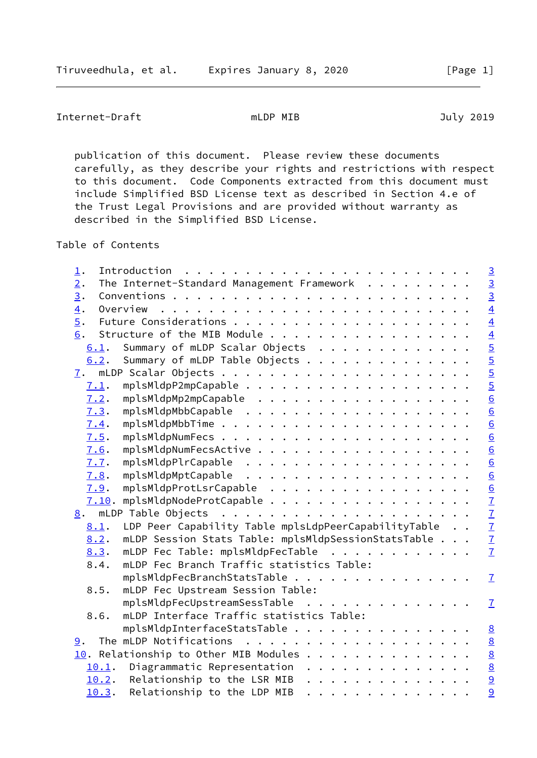Internet-Draft mLDP MIB and must be a must be a must be a must be a must be a must be a must be a must be a mu

 publication of this document. Please review these documents carefully, as they describe your rights and restrictions with respect to this document. Code Components extracted from this document must include Simplified BSD License text as described in Section 4.e of the Trust Legal Provisions and are provided without warranty as described in the Simplified BSD License.

Table of Contents

| 1.               |                                                      | $\overline{3}$                                          |
|------------------|------------------------------------------------------|---------------------------------------------------------|
| 2.               | The Internet-Standard Management Framework           | $\overline{3}$                                          |
| $\overline{3}$ . |                                                      | $\overline{3}$                                          |
| 4.               | Overview                                             | $\frac{4}{4}$                                           |
| $\overline{5}$ . |                                                      |                                                         |
| 6.               | Structure of the MIB Module                          |                                                         |
| 6.1.             | Summary of mLDP Scalar Objects                       | $\frac{4}{5}$                                           |
| 6.2.             | Summary of mLDP Table Objects                        |                                                         |
| 7.               |                                                      | $\frac{5}{6}$                                           |
| 7.1.             |                                                      |                                                         |
| 7.2.             | mplsMldpMp2mpCapable                                 |                                                         |
| 7.3.             |                                                      |                                                         |
| 7.4.             |                                                      | $\frac{6}{6}$                                           |
| 7.5.             |                                                      |                                                         |
| 7.6.             |                                                      | $\underline{6}$                                         |
| 7.7.             |                                                      | $\underline{6}$                                         |
| 7.8.             |                                                      | $\frac{6}{2}$ $\frac{7}{2}$ $\frac{7}{2}$ $\frac{7}{2}$ |
| 7.9.             | mplsMldpProtLsrCapable                               |                                                         |
| 7.10.            | mplsMldpNodeProtCapable                              |                                                         |
|                  |                                                      |                                                         |
| 8.1.             | LDP Peer Capability Table mplsLdpPeerCapabilityTable |                                                         |
| 8.2.             | mLDP Session Stats Table: mplsMldpSessionStatsTable  |                                                         |
| 8.3.             | mLDP Fec Table: mplsMldpFecTable                     |                                                         |
| 8.4.             | mLDP Fec Branch Traffic statistics Table:            |                                                         |
|                  | mplsMldpFecBranchStatsTable                          | $\mathbf{I}$                                            |
| 8.5.             | mLDP Fec Upstream Session Table:                     |                                                         |
|                  | mplsMldpFecUpstreamSessTable                         | $\overline{1}$                                          |
| 8.6.             | mLDP Interface Traffic statistics Table:             |                                                         |
|                  | mplsMldpInterfaceStatsTable                          | 8                                                       |
| 9.               |                                                      | 8                                                       |
|                  | 10. Relationship to Other MIB Modules                | $\underline{8}$                                         |
|                  | 10.1. Diagrammatic Representation                    | $\overline{8}$                                          |
|                  | $10.2$ . Relationship to the LSR MIB                 | $\overline{9}$                                          |
| 10.3.            | Relationship to the LDP MIB<br>.                     | 9                                                       |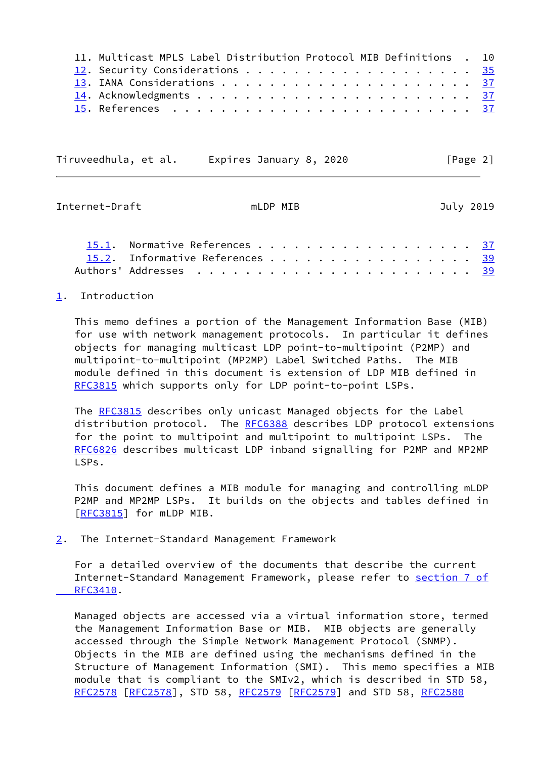| 11. Multicast MPLS Label Distribution Protocol MIB Definitions . 10 |
|---------------------------------------------------------------------|
|                                                                     |
|                                                                     |
|                                                                     |
|                                                                     |

Tiruveedhula, et al. Expires January 8, 2020 [Page 2]

<span id="page-2-1"></span>Internet-Draft mLDP MIB July 2019

| 15.1. Normative References 37   |  |  |  |  |  |  |  |  |  |
|---------------------------------|--|--|--|--|--|--|--|--|--|
| 15.2. Informative References 39 |  |  |  |  |  |  |  |  |  |
|                                 |  |  |  |  |  |  |  |  |  |

# <span id="page-2-0"></span>[1](#page-2-0). Introduction

 This memo defines a portion of the Management Information Base (MIB) for use with network management protocols. In particular it defines objects for managing multicast LDP point-to-multipoint (P2MP) and multipoint-to-multipoint (MP2MP) Label Switched Paths. The MIB module defined in this document is extension of LDP MIB defined in [RFC3815](https://datatracker.ietf.org/doc/pdf/rfc3815) which supports only for LDP point-to-point LSPs.

The [RFC3815](https://datatracker.ietf.org/doc/pdf/rfc3815) describes only unicast Managed objects for the Label distribution protocol. The [RFC6388](https://datatracker.ietf.org/doc/pdf/rfc6388) describes LDP protocol extensions for the point to multipoint and multipoint to multipoint LSPs. The [RFC6826](https://datatracker.ietf.org/doc/pdf/rfc6826) describes multicast LDP inband signalling for P2MP and MP2MP LSPs.

 This document defines a MIB module for managing and controlling mLDP P2MP and MP2MP LSPs. It builds on the objects and tables defined in [\[RFC3815](https://datatracker.ietf.org/doc/pdf/rfc3815)] for mLDP MIB.

<span id="page-2-2"></span>[2](#page-2-2). The Internet-Standard Management Framework

 For a detailed overview of the documents that describe the current Internet-Standard Management Framework, please refer to [section](https://datatracker.ietf.org/doc/pdf/rfc3410#section-7) 7 of  [RFC3410.](https://datatracker.ietf.org/doc/pdf/rfc3410#section-7)

 Managed objects are accessed via a virtual information store, termed the Management Information Base or MIB. MIB objects are generally accessed through the Simple Network Management Protocol (SNMP). Objects in the MIB are defined using the mechanisms defined in the Structure of Management Information (SMI). This memo specifies a MIB module that is compliant to the SMIv2, which is described in STD 58, [RFC2578](https://datatracker.ietf.org/doc/pdf/rfc2578) [\[RFC2578](https://datatracker.ietf.org/doc/pdf/rfc2578)], STD 58, [RFC2579](https://datatracker.ietf.org/doc/pdf/rfc2579) [[RFC2579\]](https://datatracker.ietf.org/doc/pdf/rfc2579) and STD 58, [RFC2580](https://datatracker.ietf.org/doc/pdf/rfc2580)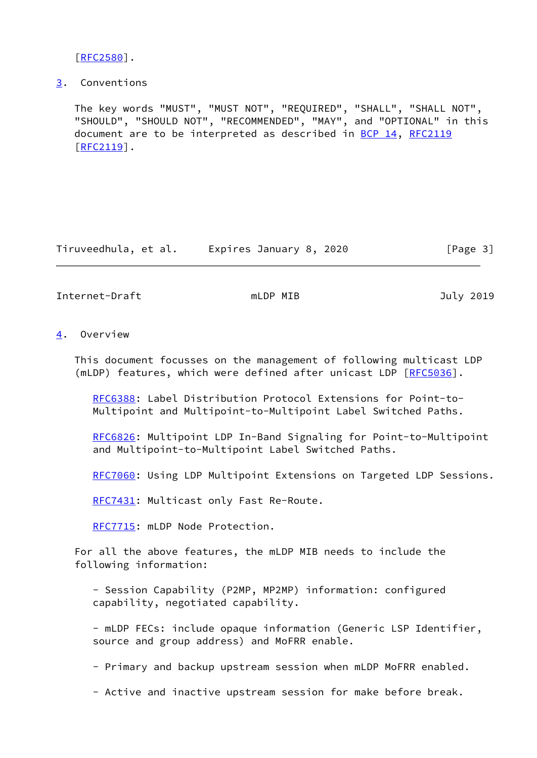[\[RFC2580](https://datatracker.ietf.org/doc/pdf/rfc2580)].

<span id="page-3-0"></span>[3](#page-3-0). Conventions

 The key words "MUST", "MUST NOT", "REQUIRED", "SHALL", "SHALL NOT", "SHOULD", "SHOULD NOT", "RECOMMENDED", "MAY", and "OPTIONAL" in this document are to be interpreted as described in [BCP 14](https://datatracker.ietf.org/doc/pdf/bcp14), [RFC2119](https://datatracker.ietf.org/doc/pdf/rfc2119) [\[RFC2119](https://datatracker.ietf.org/doc/pdf/rfc2119)].

Tiruveedhula, et al. Expires January 8, 2020 [Page 3]

<span id="page-3-2"></span>Internet-Draft mLDP MIB and must be a must be a must be a must be a must be a must be a must be a must be a mu

<span id="page-3-1"></span>[4](#page-3-1). Overview

 This document focusses on the management of following multicast LDP (mLDP) features, which were defined after unicast LDP [[RFC5036](https://datatracker.ietf.org/doc/pdf/rfc5036)].

 [RFC6388](https://datatracker.ietf.org/doc/pdf/rfc6388): Label Distribution Protocol Extensions for Point-to- Multipoint and Multipoint-to-Multipoint Label Switched Paths.

 [RFC6826](https://datatracker.ietf.org/doc/pdf/rfc6826): Multipoint LDP In-Band Signaling for Point-to-Multipoint and Multipoint-to-Multipoint Label Switched Paths.

[RFC7060](https://datatracker.ietf.org/doc/pdf/rfc7060): Using LDP Multipoint Extensions on Targeted LDP Sessions.

[RFC7431](https://datatracker.ietf.org/doc/pdf/rfc7431): Multicast only Fast Re-Route.

[RFC7715](https://datatracker.ietf.org/doc/pdf/rfc7715): mLDP Node Protection.

 For all the above features, the mLDP MIB needs to include the following information:

 - Session Capability (P2MP, MP2MP) information: configured capability, negotiated capability.

 - mLDP FECs: include opaque information (Generic LSP Identifier, source and group address) and MoFRR enable.

- Primary and backup upstream session when mLDP MoFRR enabled.

- Active and inactive upstream session for make before break.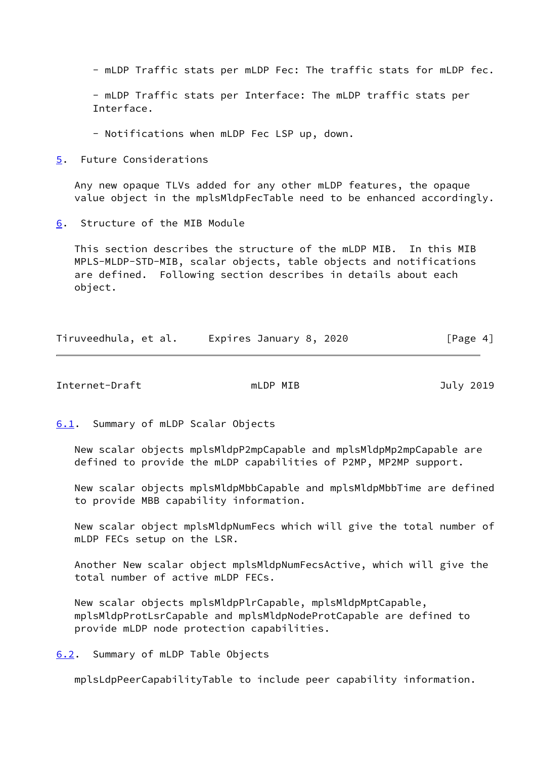- mLDP Traffic stats per mLDP Fec: The traffic stats for mLDP fec.

 - mLDP Traffic stats per Interface: The mLDP traffic stats per Interface.

- Notifications when mLDP Fec LSP up, down.

<span id="page-4-0"></span>[5](#page-4-0). Future Considerations

 Any new opaque TLVs added for any other mLDP features, the opaque value object in the mplsMldpFecTable need to be enhanced accordingly.

<span id="page-4-1"></span>[6](#page-4-1). Structure of the MIB Module

 This section describes the structure of the mLDP MIB. In this MIB MPLS-MLDP-STD-MIB, scalar objects, table objects and notifications are defined. Following section describes in details about each object.

| Tiruveedhula, et al. | Expires January 8, 2020 | [Page 4] |
|----------------------|-------------------------|----------|
|----------------------|-------------------------|----------|

<span id="page-4-3"></span>Internet-Draft mLDP MIB and must be a must be defined a more in the set of the set of the set of the set of th

<span id="page-4-2"></span>[6.1](#page-4-2). Summary of mLDP Scalar Objects

 New scalar objects mplsMldpP2mpCapable and mplsMldpMp2mpCapable are defined to provide the mLDP capabilities of P2MP, MP2MP support.

 New scalar objects mplsMldpMbbCapable and mplsMldpMbbTime are defined to provide MBB capability information.

 New scalar object mplsMldpNumFecs which will give the total number of mLDP FECs setup on the LSR.

 Another New scalar object mplsMldpNumFecsActive, which will give the total number of active mLDP FECs.

 New scalar objects mplsMldpPlrCapable, mplsMldpMptCapable, mplsMldpProtLsrCapable and mplsMldpNodeProtCapable are defined to provide mLDP node protection capabilities.

<span id="page-4-4"></span>[6.2](#page-4-4). Summary of mLDP Table Objects

mplsLdpPeerCapabilityTable to include peer capability information.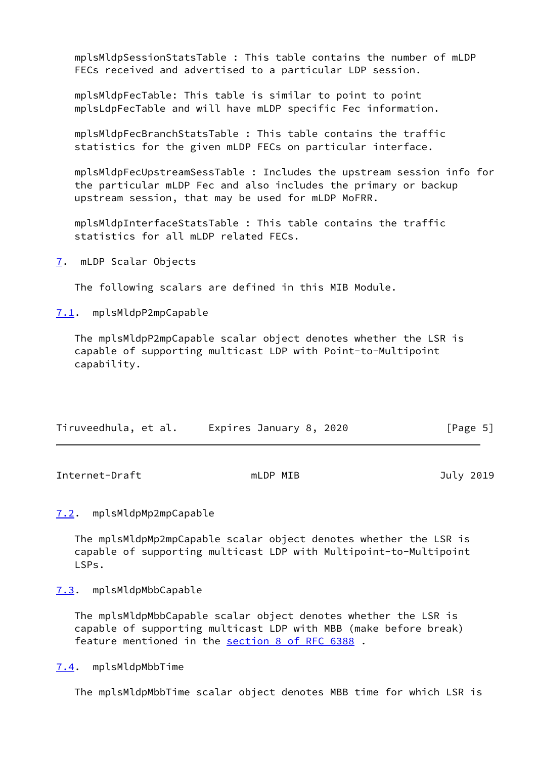mplsMldpSessionStatsTable : This table contains the number of mLDP FECs received and advertised to a particular LDP session.

 mplsMldpFecTable: This table is similar to point to point mplsLdpFecTable and will have mLDP specific Fec information.

 mplsMldpFecBranchStatsTable : This table contains the traffic statistics for the given mLDP FECs on particular interface.

 mplsMldpFecUpstreamSessTable : Includes the upstream session info for the particular mLDP Fec and also includes the primary or backup upstream session, that may be used for mLDP MoFRR.

 mplsMldpInterfaceStatsTable : This table contains the traffic statistics for all mLDP related FECs.

<span id="page-5-0"></span>[7](#page-5-0). mLDP Scalar Objects

The following scalars are defined in this MIB Module.

<span id="page-5-1"></span>[7.1](#page-5-1). mplsMldpP2mpCapable

 The mplsMldpP2mpCapable scalar object denotes whether the LSR is capable of supporting multicast LDP with Point-to-Multipoint capability.

| Tiruveedhula, et al. | Expires January 8, 2020 | [Page 5] |
|----------------------|-------------------------|----------|
|                      |                         |          |

<span id="page-5-3"></span>Internet-Draft mLDP MIB and must be a must be a state of the set of the set of the set of the set of the set o

<span id="page-5-2"></span>[7.2](#page-5-2). mplsMldpMp2mpCapable

 The mplsMldpMp2mpCapable scalar object denotes whether the LSR is capable of supporting multicast LDP with Multipoint-to-Multipoint LSPs.

<span id="page-5-4"></span>[7.3](#page-5-4). mplsMldpMbbCapable

 The mplsMldpMbbCapable scalar object denotes whether the LSR is capable of supporting multicast LDP with MBB (make before break) feature mentioned in the section [8 of RFC 6388](https://datatracker.ietf.org/doc/pdf/rfc6388#section-8) .

<span id="page-5-5"></span>[7.4](#page-5-5). mplsMldpMbbTime

The mplsMldpMbbTime scalar object denotes MBB time for which LSR is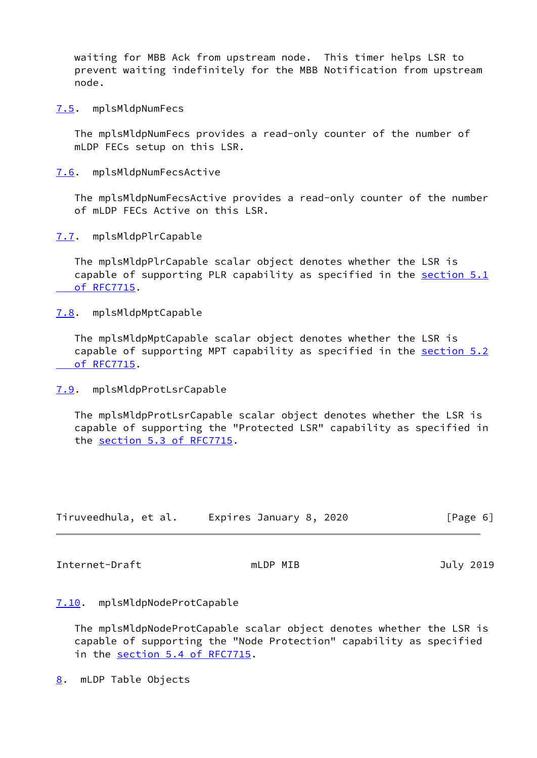waiting for MBB Ack from upstream node. This timer helps LSR to prevent waiting indefinitely for the MBB Notification from upstream node.

<span id="page-6-0"></span>[7.5](#page-6-0). mplsMldpNumFecs

 The mplsMldpNumFecs provides a read-only counter of the number of mLDP FECs setup on this LSR.

<span id="page-6-1"></span>[7.6](#page-6-1). mplsMldpNumFecsActive

 The mplsMldpNumFecsActive provides a read-only counter of the number of mLDP FECs Active on this LSR.

<span id="page-6-2"></span>[7.7](#page-6-2). mplsMldpPlrCapable

 The mplsMldpPlrCapable scalar object denotes whether the LSR is capable of supporting PLR capability as specified in the [section](https://datatracker.ietf.org/doc/pdf/rfc7715#section-5.1) 5.1  [of RFC7715](https://datatracker.ietf.org/doc/pdf/rfc7715#section-5.1).

<span id="page-6-3"></span>[7.8](#page-6-3). mplsMldpMptCapable

 The mplsMldpMptCapable scalar object denotes whether the LSR is capable of supporting MPT capability as specified in the [section](https://datatracker.ietf.org/doc/pdf/rfc7715#section-5.2) 5.2  [of RFC7715](https://datatracker.ietf.org/doc/pdf/rfc7715#section-5.2).

<span id="page-6-4"></span>[7.9](#page-6-4). mplsMldpProtLsrCapable

 The mplsMldpProtLsrCapable scalar object denotes whether the LSR is capable of supporting the "Protected LSR" capability as specified in the section [5.3 of RFC7715](https://datatracker.ietf.org/doc/pdf/rfc7715#section-5.3).

| Tiruveedhula, et al. | Expires January 8, 2020 | [Page 6] |
|----------------------|-------------------------|----------|
|----------------------|-------------------------|----------|

<span id="page-6-6"></span>Internet-Draft mLDP MIB and Duly 2019

# <span id="page-6-5"></span>[7.10](#page-6-5). mplsMldpNodeProtCapable

 The mplsMldpNodeProtCapable scalar object denotes whether the LSR is capable of supporting the "Node Protection" capability as specified in the section [5.4 of RFC7715](https://datatracker.ietf.org/doc/pdf/rfc7715#section-5.4).

<span id="page-6-7"></span>[8](#page-6-7). mLDP Table Objects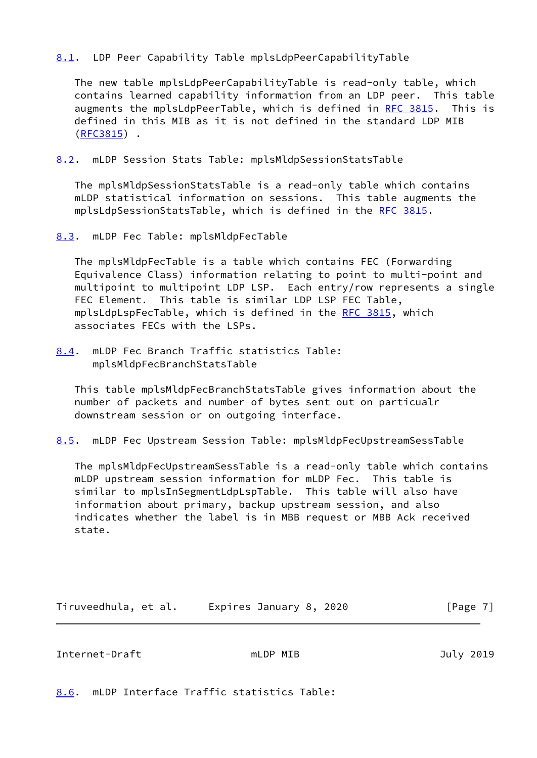# <span id="page-7-0"></span>[8.1](#page-7-0). LDP Peer Capability Table mplsLdpPeerCapabilityTable

 The new table mplsLdpPeerCapabilityTable is read-only table, which contains learned capability information from an LDP peer. This table augments the mplsLdpPeerTable, which is defined in [RFC 3815.](https://datatracker.ietf.org/doc/pdf/rfc3815) This is defined in this MIB as it is not defined in the standard LDP MIB [\(RFC3815](https://datatracker.ietf.org/doc/pdf/rfc3815)) .

<span id="page-7-1"></span>[8.2](#page-7-1). mLDP Session Stats Table: mplsMldpSessionStatsTable

 The mplsMldpSessionStatsTable is a read-only table which contains mLDP statistical information on sessions. This table augments the mplsLdpSessionStatsTable, which is defined in the [RFC 3815](https://datatracker.ietf.org/doc/pdf/rfc3815).

<span id="page-7-2"></span>[8.3](#page-7-2). mLDP Fec Table: mplsMldpFecTable

 The mplsMldpFecTable is a table which contains FEC (Forwarding Equivalence Class) information relating to point to multi-point and multipoint to multipoint LDP LSP. Each entry/row represents a single FEC Element. This table is similar LDP LSP FEC Table, mplsLdpLspFecTable, which is defined in the [RFC 3815,](https://datatracker.ietf.org/doc/pdf/rfc3815) which associates FECs with the LSPs.

<span id="page-7-4"></span>[8.4](#page-7-4). mLDP Fec Branch Traffic statistics Table: mplsMldpFecBranchStatsTable

 This table mplsMldpFecBranchStatsTable gives information about the number of packets and number of bytes sent out on particualr downstream session or on outgoing interface.

<span id="page-7-5"></span>[8.5](#page-7-5). mLDP Fec Upstream Session Table: mplsMldpFecUpstreamSessTable

 The mplsMldpFecUpstreamSessTable is a read-only table which contains mLDP upstream session information for mLDP Fec. This table is similar to mplsInSegmentLdpLspTable. This table will also have information about primary, backup upstream session, and also indicates whether the label is in MBB request or MBB Ack received state.

| Tiruveedhula, et al. | Expires January 8, 2020 | [Page 7] |
|----------------------|-------------------------|----------|
|----------------------|-------------------------|----------|

<span id="page-7-3"></span>Internet-Draft mLDP MIB July 2019

<span id="page-7-6"></span>[8.6](#page-7-6). mLDP Interface Traffic statistics Table: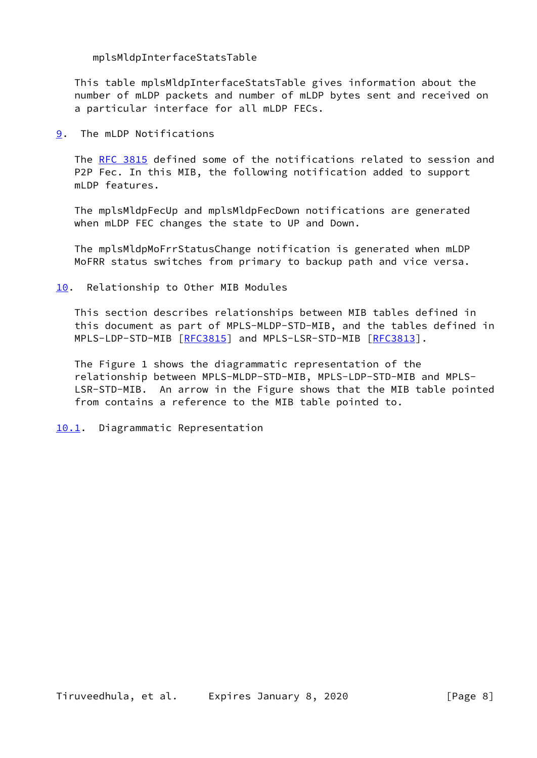mplsMldpInterfaceStatsTable

 This table mplsMldpInterfaceStatsTable gives information about the number of mLDP packets and number of mLDP bytes sent and received on a particular interface for all mLDP FECs.

<span id="page-8-0"></span>[9](#page-8-0). The mLDP Notifications

 The [RFC 3815](https://datatracker.ietf.org/doc/pdf/rfc3815) defined some of the notifications related to session and P2P Fec. In this MIB, the following notification added to support mLDP features.

 The mplsMldpFecUp and mplsMldpFecDown notifications are generated when mLDP FEC changes the state to UP and Down.

 The mplsMldpMoFrrStatusChange notification is generated when mLDP MoFRR status switches from primary to backup path and vice versa.

<span id="page-8-1"></span>[10.](#page-8-1) Relationship to Other MIB Modules

 This section describes relationships between MIB tables defined in this document as part of MPLS-MLDP-STD-MIB, and the tables defined in MPLS-LDP-STD-MIB [\[RFC3815](https://datatracker.ietf.org/doc/pdf/rfc3815)] and MPLS-LSR-STD-MIB [\[RFC3813](https://datatracker.ietf.org/doc/pdf/rfc3813)].

 The Figure 1 shows the diagrammatic representation of the relationship between MPLS-MLDP-STD-MIB, MPLS-LDP-STD-MIB and MPLS- LSR-STD-MIB. An arrow in the Figure shows that the MIB table pointed from contains a reference to the MIB table pointed to.

<span id="page-8-2"></span>[10.1](#page-8-2). Diagrammatic Representation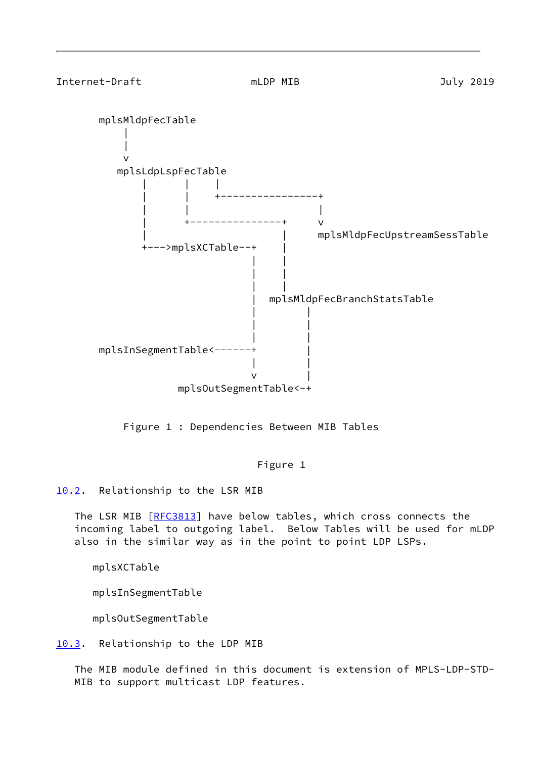<span id="page-9-1"></span> mplsMldpFecTable | | v mplsLdpLspFecTable | | | | | +----------------+ | | | | +---------------+ v | | mplsMldpFecUpstreamSessTable +--->mplsXCTable--+ | | | | | | | | mplsMldpFecBranchStatsTable | | | | | | mplsInSegmentTable<------+ | | |  $\mathsf{v}$  |  $\mathsf{v}$  |  $\mathsf{v}$  |  $\mathsf{v}$  |  $\mathsf{v}$  |  $\mathsf{v}$  |  $\mathsf{v}$  |  $\mathsf{v}$  |  $\mathsf{v}$  |  $\mathsf{v}$  |  $\mathsf{v}$  |  $\mathsf{v}$  |  $\mathsf{v}$  |  $\mathsf{v}$  |  $\mathsf{v}$  |  $\mathsf{v}$  |  $\mathsf{v}$  |  $\mathsf{v}$  |  $\mathsf{v}$  |  $\mathsf{v}$  | mplsOutSegmentTable<-+

Figure 1 : Dependencies Between MIB Tables

Figure 1

<span id="page-9-0"></span>[10.2](#page-9-0). Relationship to the LSR MIB

The LSR MIB [\[RFC3813](https://datatracker.ietf.org/doc/pdf/rfc3813)] have below tables, which cross connects the incoming label to outgoing label. Below Tables will be used for mLDP also in the similar way as in the point to point LDP LSPs.

mplsXCTable

mplsInSegmentTable

mplsOutSegmentTable

<span id="page-9-2"></span>[10.3](#page-9-2). Relationship to the LDP MIB

 The MIB module defined in this document is extension of MPLS-LDP-STD- MIB to support multicast LDP features.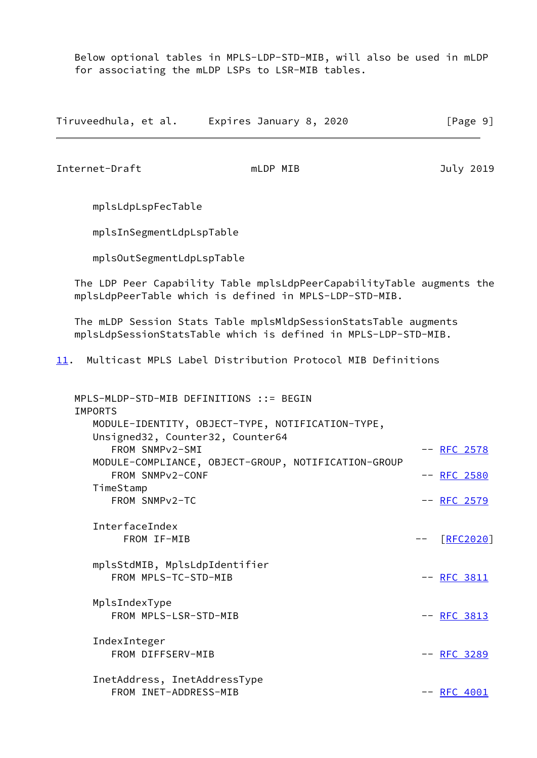Below optional tables in MPLS-LDP-STD-MIB, will also be used in mLDP for associating the mLDP LSPs to LSR-MIB tables.

<span id="page-10-0"></span>

|                                                                                                                                                                     | Tiruveedhula, et al. Expires January 8, 2020                                                                                      | [Page 9]                                  |
|---------------------------------------------------------------------------------------------------------------------------------------------------------------------|-----------------------------------------------------------------------------------------------------------------------------------|-------------------------------------------|
| Internet-Draft                                                                                                                                                      | mLDP MIB                                                                                                                          | July 2019                                 |
| mplsLdpLspFecTable                                                                                                                                                  |                                                                                                                                   |                                           |
| mplsInSegmentLdpLspTable                                                                                                                                            |                                                                                                                                   |                                           |
| mplsOutSegmentLdpLspTable                                                                                                                                           |                                                                                                                                   |                                           |
|                                                                                                                                                                     | The LDP Peer Capability Table mplsLdpPeerCapabilityTable augments the<br>mplsLdpPeerTable which is defined in MPLS-LDP-STD-MIB.   |                                           |
|                                                                                                                                                                     | The mLDP Session Stats Table mplsMldpSessionStatsTable augments<br>mplsLdpSessionStatsTable which is defined in MPLS-LDP-STD-MIB. |                                           |
| 11.                                                                                                                                                                 | Multicast MPLS Label Distribution Protocol MIB Definitions                                                                        |                                           |
| MPLS-MLDP-STD-MIB DEFINITIONS ::= BEGIN<br><b>IMPORTS</b><br>Unsigned32, Counter32, Counter64<br>FROM SNMPv2-SMI<br>FROM SNMPv2-CONF<br>TimeStamp<br>FROM SNMPv2-TC | MODULE-IDENTITY, OBJECT-TYPE, NOTIFICATION-TYPE,<br>MODULE-COMPLIANCE, OBJECT-GROUP, NOTIFICATION-GROUP                           | -- RFC 2578<br>-- RFC 2580<br>-- RFC 2579 |
| InterfaceIndex<br>FROM IF-MIB                                                                                                                                       |                                                                                                                                   | [REC2020]                                 |
| mplsStdMIB, MplsLdpIdentifier<br>FROM MPLS-TC-STD-MIB                                                                                                               |                                                                                                                                   | $--$ RFC 3811                             |
| MplsIndexType<br>FROM MPLS-LSR-STD-MIB                                                                                                                              |                                                                                                                                   | $--$ RFC 3813                             |
| IndexInteger<br>FROM DIFFSERV-MIB                                                                                                                                   |                                                                                                                                   | -- RFC 3289                               |
| InetAddress, InetAddressType<br>FROM INET-ADDRESS-MIB                                                                                                               |                                                                                                                                   | $--$ RFC 4001                             |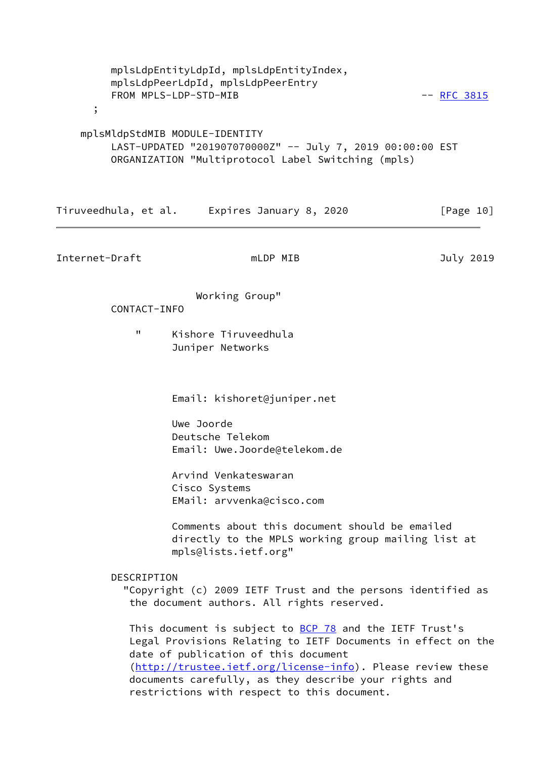| $\cdot$                        | mplsLdpEntityLdpId, mplsLdpEntityIndex,<br>mplsLdpPeerLdpId, mplsLdpPeerEntry<br>FROM MPLS-LDP-STD-MIB                                                                 | $--$ RFC 3815 |
|--------------------------------|------------------------------------------------------------------------------------------------------------------------------------------------------------------------|---------------|
| mplsMldpStdMIB MODULE-IDENTITY | LAST-UPDATED "201907070000Z" -- July 7, 2019 00:00:00 EST<br>ORGANIZATION "Multiprotocol Label Switching (mpls)                                                        |               |
|                                | Tiruveedhula, et al. Expires January 8, 2020                                                                                                                           | [Page 10]     |
| Internet-Draft                 | mLDP MIB                                                                                                                                                               | July 2019     |
| CONTACT-INFO<br>"              | Working Group"<br>Kishore Tiruveedhula                                                                                                                                 |               |
|                                | Juniper Networks<br>Email: kishoret@juniper.net                                                                                                                        |               |
|                                | Uwe Joorde<br>Deutsche Telekom<br>Email: Uwe.Joorde@telekom.de                                                                                                         |               |
|                                | Arvind Venkateswaran<br>Cisco Systems<br>EMail: arvvenka@cisco.com                                                                                                     |               |
|                                | Comments about this document should be emailed<br>directly to the MPLS working group mailing list at<br>mpls@lists.ietf.org"                                           |               |
| DESCRIPTION                    | "Copyright (c) 2009 IETF Trust and the persons identified as<br>the document authors. All rights reserved.                                                             |               |
|                                | This document is subject to <b>BCP 78</b> and the IETF Trust's<br>Legal Provisions Relating to IETF Documents in effect on the<br>date of publication of this document |               |

 [\(http://trustee.ietf.org/license-info](http://trustee.ietf.org/license-info)). Please review these documents carefully, as they describe your rights and restrictions with respect to this document.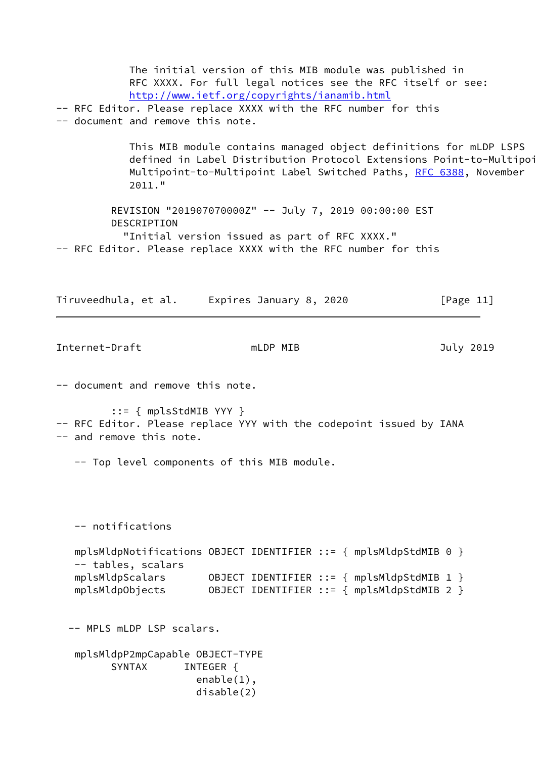The initial version of this MIB module was published in RFC XXXX. For full legal notices see the RFC itself or see: <http://www.ietf.org/copyrights/ianamib.html> -- RFC Editor. Please replace XXXX with the RFC number for this -- document and remove this note. This MIB module contains managed object definitions for mLDP LSPS defined in Label Distribution Protocol Extensions Point-to-Multipoi Multipoint-to-Multipoint Label Switched Paths, [RFC 6388](https://datatracker.ietf.org/doc/pdf/rfc6388), November 2011." REVISION "201907070000Z" -- July 7, 2019 00:00:00 EST DESCRIPTION "Initial version issued as part of RFC XXXX." -- RFC Editor. Please replace XXXX with the RFC number for this Tiruveedhula, et al. Expires January 8, 2020 [Page 11] Internet-Draft mLDP MIB and must be a must be a must be a must be a must be a must be a must be a must be a mu -- document and remove this note. ::= { mplsStdMIB YYY } -- RFC Editor. Please replace YYY with the codepoint issued by IANA -- and remove this note. -- Top level components of this MIB module. -- notifications mplsMldpNotifications OBJECT IDENTIFIER ::= { mplsMldpStdMIB 0 } -- tables, scalars mplsMldpScalars OBJECT IDENTIFIER ::= { mplsMldpStdMIB 1 } mplsMldpObjects OBJECT IDENTIFIER ::= { mplsMldpStdMIB 2 } -- MPLS mLDP LSP scalars. mplsMldpP2mpCapable OBJECT-TYPE SYNTAX INTEGER { enable(1), disable(2)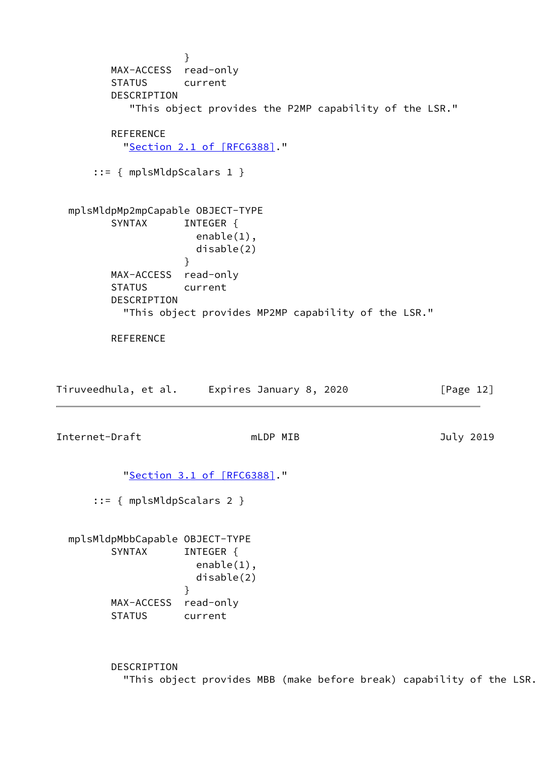} MAX-ACCESS read-only STATUS current DESCRIPTION "This object provides the P2MP capability of the LSR." REFERENCE "Section [2.1 of \[RFC6388\]](https://datatracker.ietf.org/doc/pdf/rfc6388#section-2.1)." ::= { mplsMldpScalars 1 } mplsMldpMp2mpCapable OBJECT-TYPE SYNTAX INTEGER { enable(1), disable(2) } MAX-ACCESS read-only STATUS current DESCRIPTION "This object provides MP2MP capability of the LSR." **REFERENCE** Tiruveedhula, et al. Expires January 8, 2020 [Page 12] Internet-Draft mLDP MIB and must be a must be a set of the set of the set of the set of the set of the set of t "Section [3.1 of \[RFC6388\]](https://datatracker.ietf.org/doc/pdf/rfc6388#section-3.1)." ::= { mplsMldpScalars 2 } mplsMldpMbbCapable OBJECT-TYPE SYNTAX INTEGER { enable(1), disable(2) } MAX-ACCESS read-only STATUS current

> DESCRIPTION "This object provides MBB (make before break) capability of the LSR."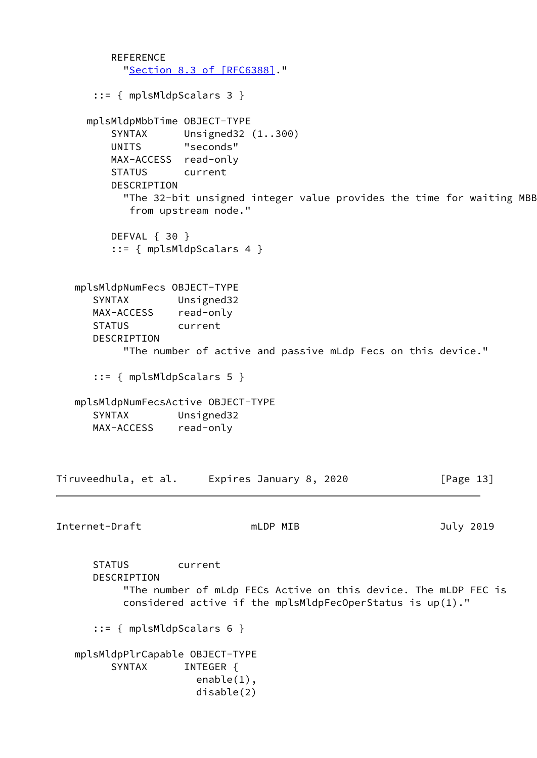```
REFERENCE
            "Section 8.3 of [RFC6388]."
       ::= { mplsMldpScalars 3 }
      mplsMldpMbbTime OBJECT-TYPE
          SYNTAX Unsigned32 (1..300)
          UNITS "seconds"
          MAX-ACCESS read-only
          STATUS current
          DESCRIPTION
           "The 32-bit unsigned integer value provides the time for waiting MBB
             from upstream node."
          DEFVAL { 30 }
          ::= { mplsMldpScalars 4 }
    mplsMldpNumFecs OBJECT-TYPE
       SYNTAX Unsigned32
      MAX-ACCESS read-only
      STATUS current
       DESCRIPTION
            "The number of active and passive mLdp Fecs on this device."
       ::= { mplsMldpScalars 5 }
   mplsMldpNumFecsActive OBJECT-TYPE
       SYNTAX Unsigned32
      MAX-ACCESS read-only
Tiruveedhula, et al. Expires January 8, 2020 [Page 13]
Internet-Draft mLDP MIB and must be a must be a set of the set of the set of the set of the set of the set of t
       STATUS current
       DESCRIPTION
            "The number of mLdp FECs Active on this device. The mLDP FEC is
            considered active if the mplsMldpFecOperStatus is up(1)."
       ::= { mplsMldpScalars 6 }
    mplsMldpPlrCapable OBJECT-TYPE
         SYNTAX INTEGER {
                        enable(1),
                        disable(2)
```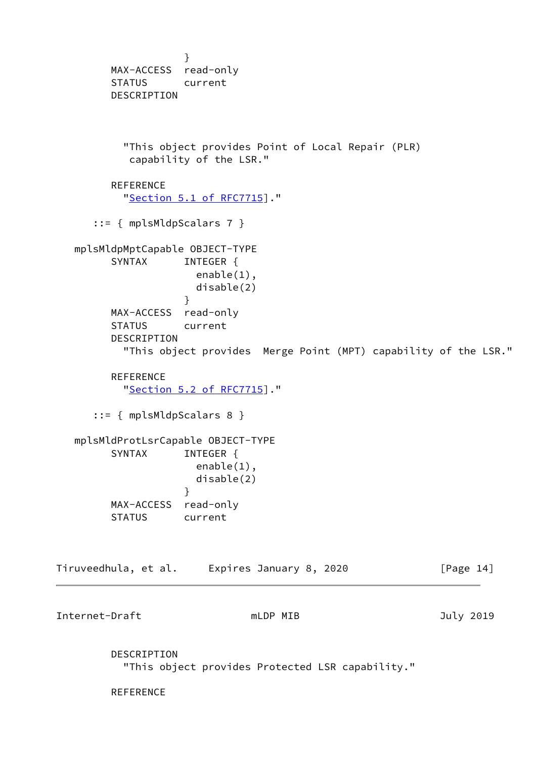} MAX-ACCESS read-only STATUS current DESCRIPTION "This object provides Point of Local Repair (PLR) capability of the LSR." **REFERENCE**  "Section [5.1 of RFC7715](https://datatracker.ietf.org/doc/pdf/rfc7715#section-5.1)]." ::= { mplsMldpScalars 7 } mplsMldpMptCapable OBJECT-TYPE SYNTAX INTEGER { enable(1), disable(2) } MAX-ACCESS read-only STATUS current DESCRIPTION "This object provides Merge Point (MPT) capability of the LSR." **REFERENCE**  "Section [5.2 of RFC7715](https://datatracker.ietf.org/doc/pdf/rfc7715#section-5.2)]." ::= { mplsMldpScalars 8 } mplsMldProtLsrCapable OBJECT-TYPE SYNTAX INTEGER { enable(1), disable(2) } MAX-ACCESS read-only STATUS current Tiruveedhula, et al. Expires January 8, 2020 [Page 14] Internet-Draft mLDP MIB 3019 DESCRIPTION "This object provides Protected LSR capability." **REFERENCE**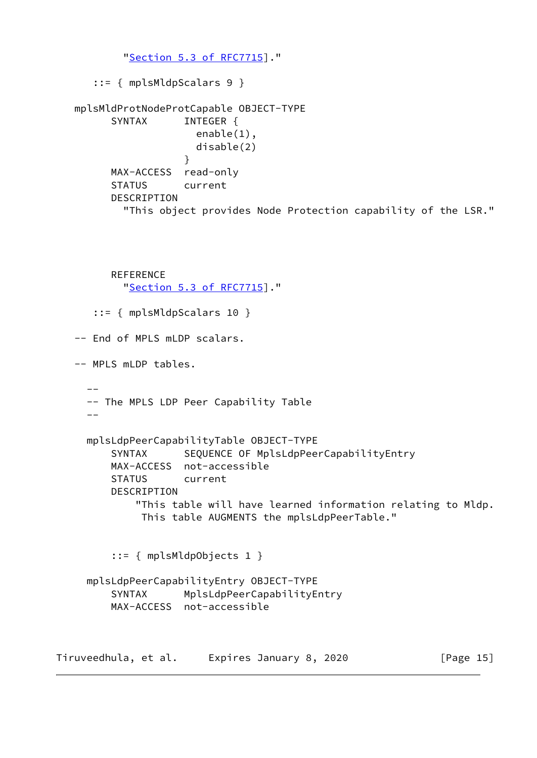```
 "Section 5.3 of RFC7715]."
      ::= { mplsMldpScalars 9 }
   mplsMldProtNodeProtCapable OBJECT-TYPE
        SYNTAX INTEGER {
                      enable(1),
                      disable(2)
 }
         MAX-ACCESS read-only
         STATUS current
         DESCRIPTION
           "This object provides Node Protection capability of the LSR."
```

```
 REFERENCE
   "Section 5.3 of RFC7715]."
```
 ::= { mplsMldpScalars 10 } -- End of MPLS mLDP scalars. -- MPLS mLDP tables. -- -- The MPLS LDP Peer Capability Table  $-$  mplsLdpPeerCapabilityTable OBJECT-TYPE SYNTAX SEQUENCE OF MplsLdpPeerCapabilityEntry MAX-ACCESS not-accessible STATUS current DESCRIPTION "This table will have learned information relating to Mldp. This table AUGMENTS the mplsLdpPeerTable."

::= { mplsMldpObjects 1 }

```
 mplsLdpPeerCapabilityEntry OBJECT-TYPE
     SYNTAX MplsLdpPeerCapabilityEntry
    MAX-ACCESS not-accessible
```
Tiruveedhula, et al. Expires January 8, 2020 [Page 15]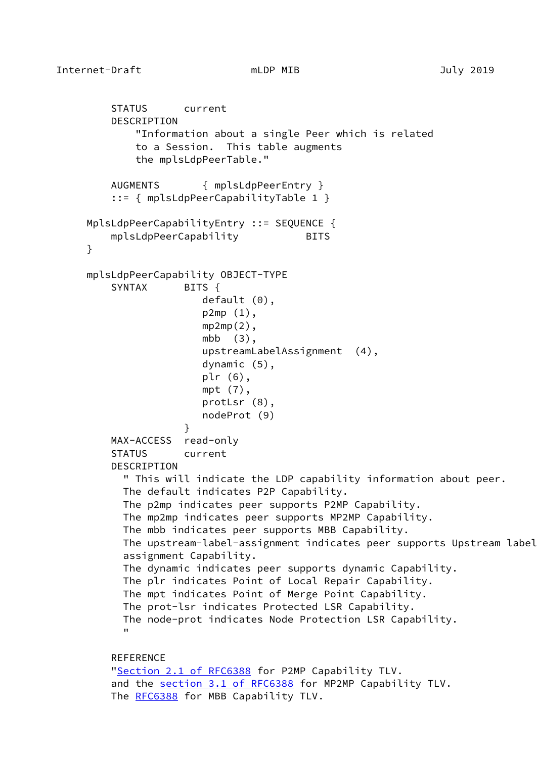```
 STATUS current
         DESCRIPTION
             "Information about a single Peer which is related
             to a Session. This table augments
             the mplsLdpPeerTable."
         AUGMENTS { mplsLdpPeerEntry }
         ::= { mplsLdpPeerCapabilityTable 1 }
     MplsLdpPeerCapabilityEntry ::= SEQUENCE {
        mplsLdpPeerCapability BITS
     }
     mplsLdpPeerCapability OBJECT-TYPE
        SYNTAX BITS {
                        default (0),
                        p2mp (1),
                       mp2mp(2),
                        mbb (3),
                        upstreamLabelAssignment (4),
                        dynamic (5),
                        plr (6),
                        mpt (7),
                        protLsr (8),
                        nodeProt (9)
 }
         MAX-ACCESS read-only
         STATUS current
         DESCRIPTION
           " This will indicate the LDP capability information about peer.
           The default indicates P2P Capability.
           The p2mp indicates peer supports P2MP Capability.
           The mp2mp indicates peer supports MP2MP Capability.
           The mbb indicates peer supports MBB Capability.
           The upstream-label-assignment indicates peer supports Upstream label
           assignment Capability.
           The dynamic indicates peer supports dynamic Capability.
           The plr indicates Point of Local Repair Capability.
           The mpt indicates Point of Merge Point Capability.
           The prot-lsr indicates Protected LSR Capability.
           The node-prot indicates Node Protection LSR Capability.
 "
        REFERENCE
        2.1 of RFC6388 for P2MP Capability TLV.
        3.1 of RFC6388 for MP2MP Capability TLV.
```

```
 RFC6388 for MBB Capability TLV.
```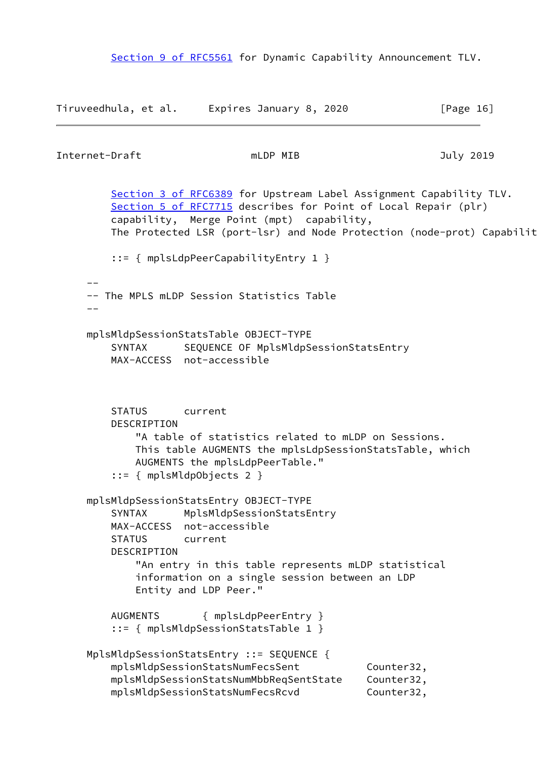Section [9 of RFC5561](https://datatracker.ietf.org/doc/pdf/rfc5561#section-9) for Dynamic Capability Announcement TLV.

```
Tiruveedhula, et al. Expires January 8, 2020 [Page 16]
Internet-Draft mLDP MIB and must be a must be a state of the set of the set of the set of the set of the set o
        3 of RFC6389 for Upstream Label Assignment Capability TLV.
        5 of RFC7715 describes for Point of Local Repair (plr)
         capability, Merge Point (mpt) capability,
        The Protected LSR (port-lsr) and Node Protection (node-prot) Capabilit
          ::= { mplsLdpPeerCapabilityEntry 1 }
 --
     -- The MPLS mLDP Session Statistics Table
 --
     mplsMldpSessionStatsTable OBJECT-TYPE
         SYNTAX SEQUENCE OF MplsMldpSessionStatsEntry
         MAX-ACCESS not-accessible
         STATUS current
         DESCRIPTION
             "A table of statistics related to mLDP on Sessions.
             This table AUGMENTS the mplsLdpSessionStatsTable, which
             AUGMENTS the mplsLdpPeerTable."
          ::= { mplsMldpObjects 2 }
     mplsMldpSessionStatsEntry OBJECT-TYPE
         SYNTAX MplsMldpSessionStatsEntry
         MAX-ACCESS not-accessible
         STATUS current
         DESCRIPTION
             "An entry in this table represents mLDP statistical
             information on a single session between an LDP
             Entity and LDP Peer."
         AUGMENTS { mplsLdpPeerEntry }
          ::= { mplsMldpSessionStatsTable 1 }
     MplsMldpSessionStatsEntry ::= SEQUENCE {
        mplsMldpSessionStatsNumFecsSent Counter32,
         mplsMldpSessionStatsNumMbbReqSentState Counter32,
         mplsMldpSessionStatsNumFecsRcvd Counter32,
```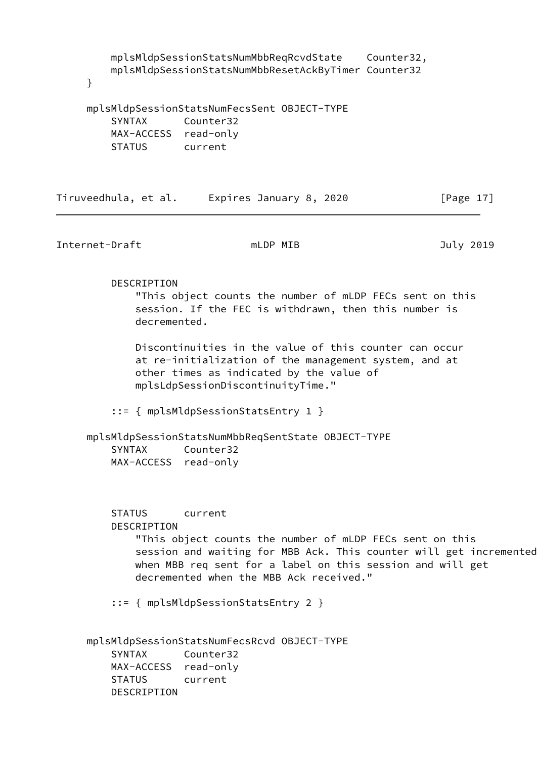mplsMldpSessionStatsNumMbbReqRcvdState Counter32, mplsMldpSessionStatsNumMbbResetAckByTimer Counter32

}

|                      | mplsMldpSessionStatsNumFecsSent OBJECT-TYPE |  |
|----------------------|---------------------------------------------|--|
| SYNTAX Counter32     |                                             |  |
| MAX-ACCESS read-only |                                             |  |
| STATUS               | current                                     |  |

| Tiruveedhula, et al. | Expires January 8, 2020 | [Page 17] |
|----------------------|-------------------------|-----------|
|                      |                         |           |

Internet-Draft mLDP MIB and must be a must be defined a more in the set of the set of the set of the set of th

 DESCRIPTION "This object counts the number of mLDP FECs sent on this session. If the FEC is withdrawn, then this number is decremented.

 Discontinuities in the value of this counter can occur at re-initialization of the management system, and at other times as indicated by the value of mplsLdpSessionDiscontinuityTime."

::= { mplsMldpSessionStatsEntry 1 }

 mplsMldpSessionStatsNumMbbReqSentState OBJECT-TYPE SYNTAX Counter32 MAX-ACCESS read-only

 STATUS current DESCRIPTION "This object counts the number of mLDP FECs sent on this session and waiting for MBB Ack. This counter will get incremented when MBB req sent for a label on this session and will get decremented when the MBB Ack received."

::= { mplsMldpSessionStatsEntry 2 }

 mplsMldpSessionStatsNumFecsRcvd OBJECT-TYPE SYNTAX Counter32 MAX-ACCESS read-only STATUS current DESCRIPTION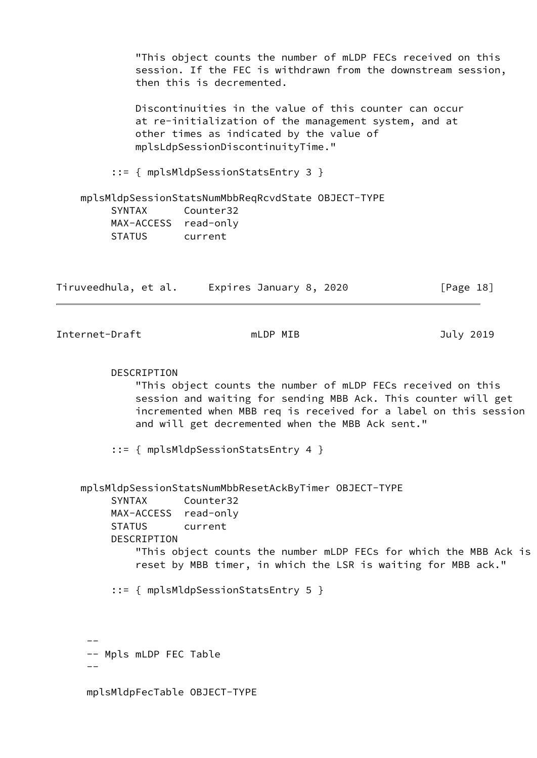"This object counts the number of mLDP FECs received on this session. If the FEC is withdrawn from the downstream session, then this is decremented.

 Discontinuities in the value of this counter can occur at re-initialization of the management system, and at other times as indicated by the value of mplsLdpSessionDiscontinuityTime."

::= { mplsMldpSessionStatsEntry 3 }

 mplsMldpSessionStatsNumMbbReqRcvdState OBJECT-TYPE SYNTAX Counter32 MAX-ACCESS read-only STATUS current

| Tiruveedhula, et al. | Expires January 8, 2020 | [Page 18] |
|----------------------|-------------------------|-----------|
|                      |                         |           |

Internet-Draft mLDP MIB and must be a must be a set of the set of the set of the set of the set of the set of t

### DESCRIPTION

 "This object counts the number of mLDP FECs received on this session and waiting for sending MBB Ack. This counter will get incremented when MBB req is received for a label on this session and will get decremented when the MBB Ack sent."

::= { mplsMldpSessionStatsEntry 4 }

```
 mplsMldpSessionStatsNumMbbResetAckByTimer OBJECT-TYPE
         SYNTAX Counter32
         MAX-ACCESS read-only
         STATUS current
         DESCRIPTION
             "This object counts the number mLDP FECs for which the MBB Ack is
             reset by MBB timer, in which the LSR is waiting for MBB ack."
         ::= { mplsMldpSessionStatsEntry 5 }
 --
```

```
 -- Mpls mLDP FEC Table
```

```
-
```
mplsMldpFecTable OBJECT-TYPE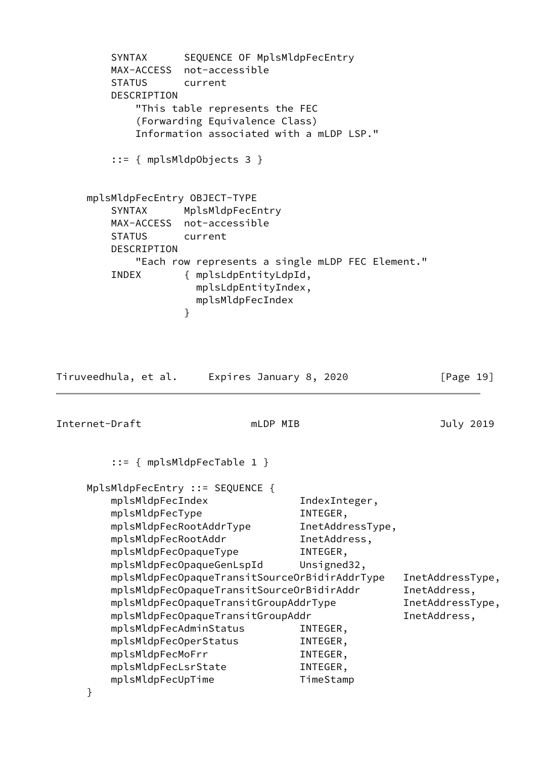```
 SYNTAX SEQUENCE OF MplsMldpFecEntry
        MAX-ACCESS not-accessible
        STATUS current
        DESCRIPTION
            "This table represents the FEC
            (Forwarding Equivalence Class)
            Information associated with a mLDP LSP."
         ::= { mplsMldpObjects 3 }
     mplsMldpFecEntry OBJECT-TYPE
        SYNTAX MplsMldpFecEntry
        MAX-ACCESS not-accessible
        STATUS current
        DESCRIPTION
            "Each row represents a single mLDP FEC Element."
        INDEX { mplsLdpEntityLdpId,
                     mplsLdpEntityIndex,
                     mplsMldpFecIndex
 }
Tiruveedhula, et al. Expires January 8, 2020 [Page 19]
Internet-Draft mLDP MIB and Duly 2019
         ::= { mplsMldpFecTable 1 }
     MplsMldpFecEntry ::= SEQUENCE {
       mplsMldpFecIndex 1ndexInteger,
       mplsMldpFecType INTEGER,
        mplsMldpFecRootAddrType InetAddressType,
        mplsMldpFecRootAddr InetAddress,
        mplsMldpFecOpaqueType INTEGER,
        mplsMldpFecOpaqueGenLspId Unsigned32,
        mplsMldpFecOpaqueTransitSourceOrBidirAddrType InetAddressType,
       mplsMldpFecOpaqueTransitSourceOrBidirAddr InetAddress,
       mplsMldpFecOpaqueTransitGroupAddrType InetAddressType,
       mplsMldpFecOpaqueTransitGroupAddr international InetAddress,
        mplsMldpFecAdminStatus INTEGER,
        mplsMldpFecOperStatus INTEGER,
       mplsMldpFecMoFrr INTEGER,
        mplsMldpFecLsrState INTEGER,
        mplsMldpFecUpTime TimeStamp
     }
```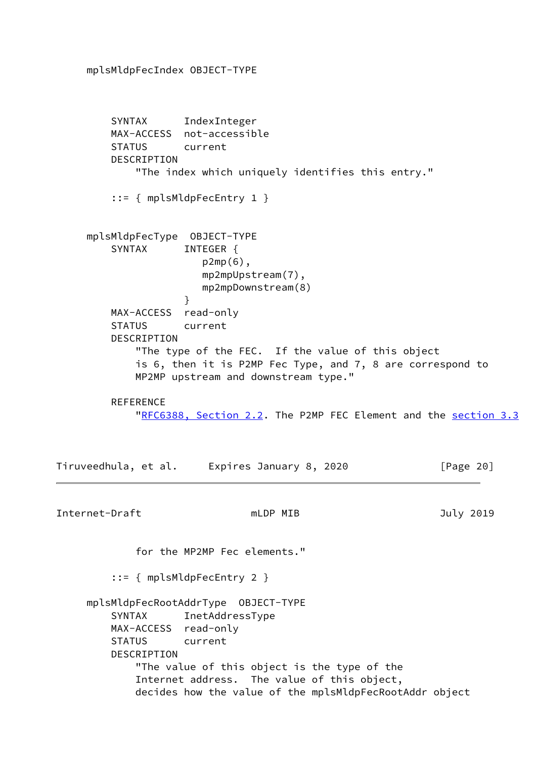mplsMldpFecIndex OBJECT-TYPE

 SYNTAX IndexInteger MAX-ACCESS not-accessible STATUS current DESCRIPTION "The index which uniquely identifies this entry." ::= { mplsMldpFecEntry 1 } mplsMldpFecType OBJECT-TYPE SYNTAX INTEGER { p2mp(6), mp2mpUpstream(7), mp2mpDownstream(8) } MAX-ACCESS read-only STATUS current DESCRIPTION "The type of the FEC. If the value of this object is 6, then it is P2MP Fec Type, and 7, 8 are correspond to MP2MP upstream and downstream type." **REFERENCE** "[RFC6388, Section](https://datatracker.ietf.org/doc/pdf/rfc6388#section-2.2) 2.2. The P2MP FEC Element and the section 3.3 Tiruveedhula, et al. Expires January 8, 2020 [Page 20] Internet-Draft mLDP MIB and must be a must be a state of the set of the set of the set of the set of the set o for the MP2MP Fec elements." ::= { mplsMldpFecEntry 2 } mplsMldpFecRootAddrType OBJECT-TYPE SYNTAX InetAddressType MAX-ACCESS read-only STATUS current DESCRIPTION "The value of this object is the type of the Internet address. The value of this object, decides how the value of the mplsMldpFecRootAddr object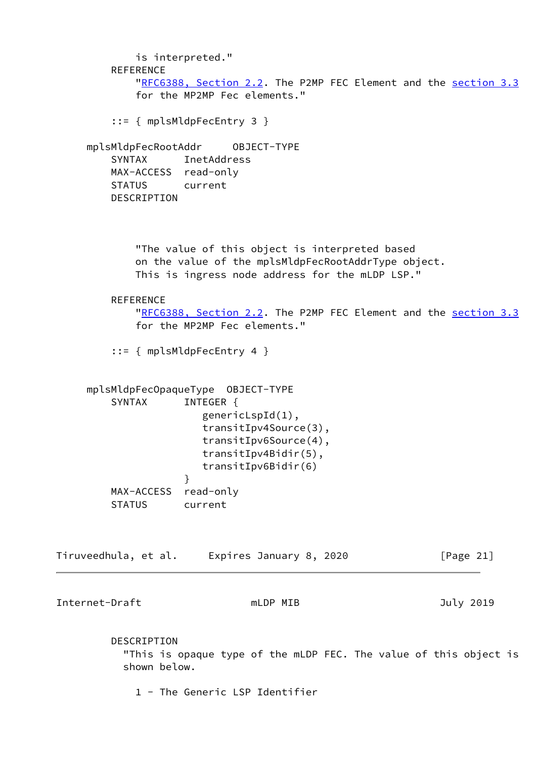| is interpreted."<br><b>REFERENCE</b>                                                                      | "RFC6388, Section 2.2. The P2MP FEC Element and the section 3.3<br>for the MP2MP Fec elements."                                                          |              |
|-----------------------------------------------------------------------------------------------------------|----------------------------------------------------------------------------------------------------------------------------------------------------------|--------------|
| $::=$ { mplsMldpFecEntry 3 }                                                                              |                                                                                                                                                          |              |
| mplsMldpFecRootAddr OBJECT-TYPE<br><b>SYNTAX</b><br>MAX-ACCESS read-only<br>STATUS current<br>DESCRIPTION | InetAddress                                                                                                                                              |              |
|                                                                                                           | "The value of this object is interpreted based<br>on the value of the mplsMldpFecRootAddrType object.<br>This is ingress node address for the mLDP LSP." |              |
| <b>REFERENCE</b>                                                                                          | "RFC6388, Section 2.2. The P2MP FEC Element and the section 3.3<br>for the MP2MP Fec elements."                                                          |              |
| $::=$ { mplsMldpFecEntry 4 }                                                                              |                                                                                                                                                          |              |
| SYNTAX<br>}<br>MAX-ACCESS                                                                                 | INTEGER {<br>$genericLspId(1)$ ,<br>transitIpv4Source(3),<br>transitIpv6Source(4),<br>transitIpv4Bidir(5),<br>transitIpv6Bidir(6)<br>read-only           |              |
| <b>STATUS</b>                                                                                             | current                                                                                                                                                  |              |
|                                                                                                           | Tiruveedhula, et al. Expires January 8, 2020                                                                                                             | [Page $21$ ] |
| Internet-Draft                                                                                            | mLDP MIB                                                                                                                                                 | July 2019    |
| DESCRIPTION<br>shown below.                                                                               | "This is opaque type of the mLDP FEC. The value of this object is                                                                                        |              |

1 - The Generic LSP Identifier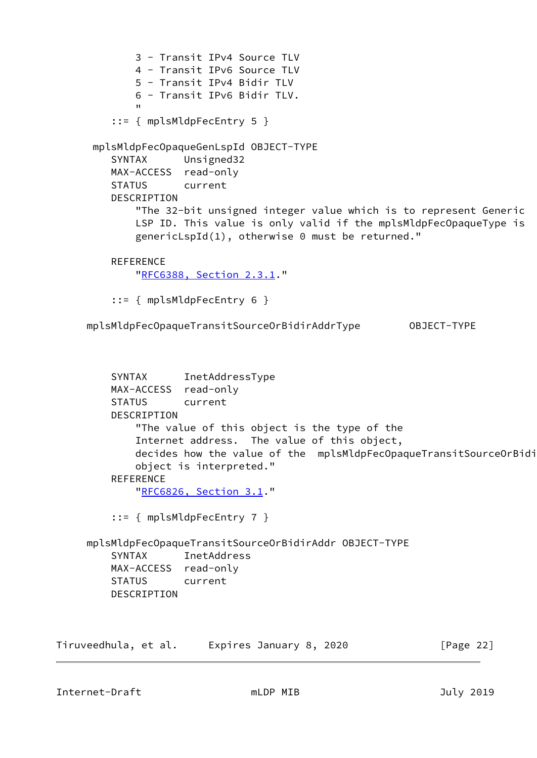```
 3 - Transit IPv4 Source TLV
                 4 - Transit IPv6 Source TLV
                 5 - Transit IPv4 Bidir TLV
                 6 - Transit IPv6 Bidir TLV.
" "The Contract of the Contract of the Contract of the Contract of the Contract of the Contract of the Contract<br>"The Contract of the Contract of the Contract of the Contract of the Contract of the Contract of the Contract 
            ::= { mplsMldpFecEntry 5 }
        mplsMldpFecOpaqueGenLspId OBJECT-TYPE
            SYNTAX Unsigned32
            MAX-ACCESS read-only
            STATUS current
            DESCRIPTION
                 "The 32-bit unsigned integer value which is to represent Generic
                 LSP ID. This value is only valid if the mplsMldpFecOpaqueType is
                 genericLspId(1), otherwise 0 must be returned."
           REFERENCE
                 "RFC6388, Section 2.3.1."
            ::= { mplsMldpFecEntry 6 }
       mplsMldpFecOpaqueTransitSourceOrBidirAddrType OBJECT-TYPE
            SYNTAX InetAddressType
            MAX-ACCESS read-only
            STATUS current
            DESCRIPTION
                 "The value of this object is the type of the
```

```
 Internet address. The value of this object,
```
decides how the value of the mplsMldpFecOpaqueTransitSourceOrBidi object is interpreted."

```
 REFERENCE
```
"[RFC6826, Section](https://datatracker.ietf.org/doc/pdf/rfc6826#section-3.1) 3.1."

```
 ::= { mplsMldpFecEntry 7 }
```
 mplsMldpFecOpaqueTransitSourceOrBidirAddr OBJECT-TYPE SYNTAX InetAddress MAX-ACCESS read-only STATUS current DESCRIPTION

| Tiruveedhula, et al. | Expires January 8, 2020 | [Page 22] |
|----------------------|-------------------------|-----------|
|----------------------|-------------------------|-----------|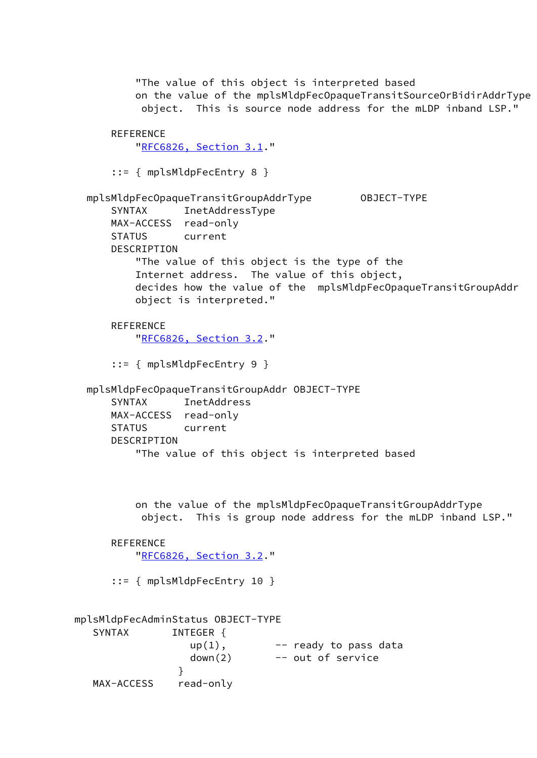"The value of this object is interpreted based on the value of the mplsMldpFecOpaqueTransitSourceOrBidirAddrType object. This is source node address for the mLDP inband LSP." **REFERENCE** "[RFC6826, Section](https://datatracker.ietf.org/doc/pdf/rfc6826#section-3.1) 3.1." ::= { mplsMldpFecEntry 8 } mplsMldpFecOpaqueTransitGroupAddrType OBJECT-TYPE SYNTAX InetAddressType MAX-ACCESS read-only STATUS current DESCRIPTION "The value of this object is the type of the Internet address. The value of this object, decides how the value of the mplsMldpFecOpaqueTransitGroupAddr object is interpreted." REFERENCE "[RFC6826, Section](https://datatracker.ietf.org/doc/pdf/rfc6826#section-3.2) 3.2." ::= { mplsMldpFecEntry 9 } mplsMldpFecOpaqueTransitGroupAddr OBJECT-TYPE SYNTAX InetAddress MAX-ACCESS read-only STATUS current DESCRIPTION "The value of this object is interpreted based on the value of the mplsMldpFecOpaqueTransitGroupAddrType object. This is group node address for the mLDP inband LSP." **REFERENCE**  "[RFC6826, Section](https://datatracker.ietf.org/doc/pdf/rfc6826#section-3.2) 3.2." ::= { mplsMldpFecEntry 10 } mplsMldpFecAdminStatus OBJECT-TYPE SYNTAX INTEGER {  $up(1)$ ,  $--$  ready to pass data down(2) -- out of service }

MAX-ACCESS read-only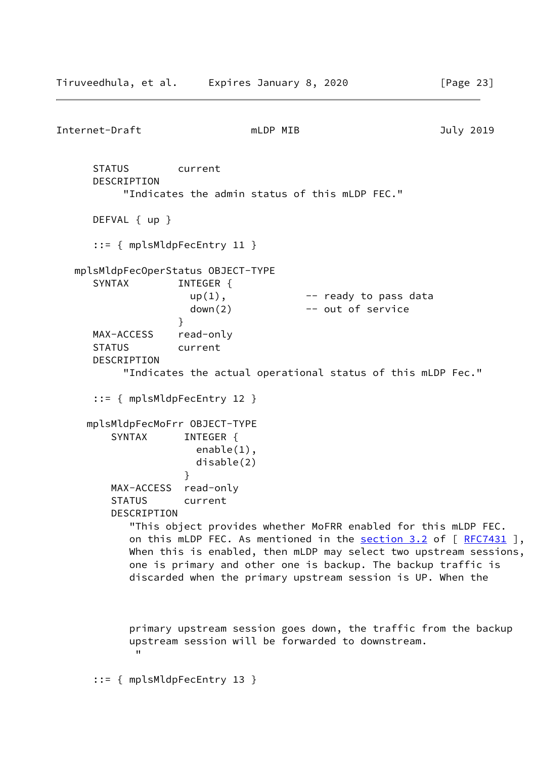Internet-Draft mLDP MIB July 2019 STATUS current DESCRIPTION "Indicates the admin status of this mLDP FEC." DEFVAL { up } ::= { mplsMldpFecEntry 11 } mplsMldpFecOperStatus OBJECT-TYPE SYNTAX INTEGER {  $up(1)$ ,  $--$  ready to pass data  $down(2)$  -- out of service } MAX-ACCESS read-only STATUS current DESCRIPTION "Indicates the actual operational status of this mLDP Fec." ::= { mplsMldpFecEntry 12 } mplsMldpFecMoFrr OBJECT-TYPE SYNTAX INTEGER { enable(1), disable(2) } MAX-ACCESS read-only STATUS current DESCRIPTION "This object provides whether MoFRR enabled for this mLDP FEC. on this mLDP FEC. As mentioned in the section  $3.2$  of  $[$  [RFC7431](https://datatracker.ietf.org/doc/pdf/rfc7431) ], When this is enabled, then mLDP may select two upstream sessions, one is primary and other one is backup. The backup traffic is discarded when the primary upstream session is UP. When the primary upstream session goes down, the traffic from the backup upstream session will be forwarded to downstream. " "The Contract of the Contract of the Contract of the Contract of the Contract of the Contract of the Contract<br>"The Contract of the Contract of the Contract of the Contract of the Contract of the Contract of the Contract

::= { mplsMldpFecEntry 13 }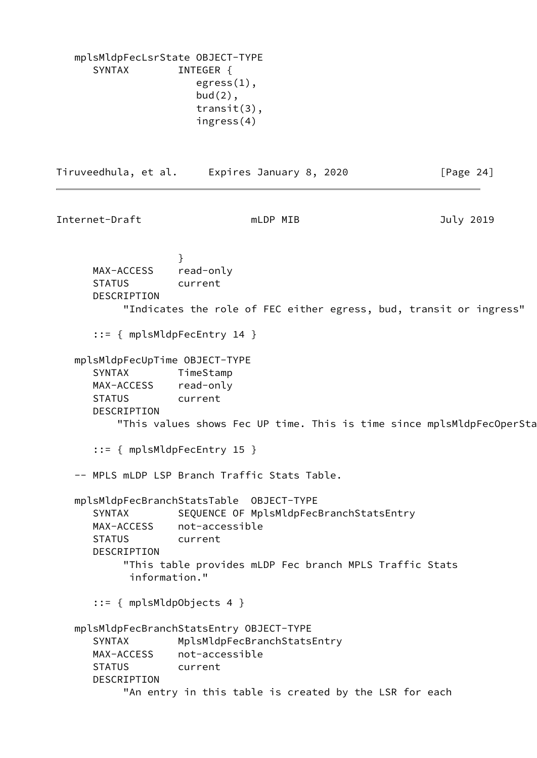mplsMldpFecLsrState OBJECT-TYPE SYNTAX INTEGER { egress(1), bud(2), transit(3), ingress(4) Tiruveedhula, et al. Expires January 8, 2020 [Page 24] Internet-Draft mLDP MIB July 2019 } MAX-ACCESS read-only STATUS current DESCRIPTION "Indicates the role of FEC either egress, bud, transit or ingress" ::= { mplsMldpFecEntry 14 } mplsMldpFecUpTime OBJECT-TYPE SYNTAX TimeStamp MAX-ACCESS read-only STATUS current DESCRIPTION "This values shows Fec UP time. This is time since mplsMldpFecOperSta ::= { mplsMldpFecEntry 15 } -- MPLS mLDP LSP Branch Traffic Stats Table. mplsMldpFecBranchStatsTable OBJECT-TYPE SYNTAX SEQUENCE OF MplsMldpFecBranchStatsEntry MAX-ACCESS not-accessible STATUS current DESCRIPTION "This table provides mLDP Fec branch MPLS Traffic Stats information." ::= { mplsMldpObjects 4 } mplsMldpFecBranchStatsEntry OBJECT-TYPE SYNTAX MplsMldpFecBranchStatsEntry MAX-ACCESS not-accessible STATUS current DESCRIPTION "An entry in this table is created by the LSR for each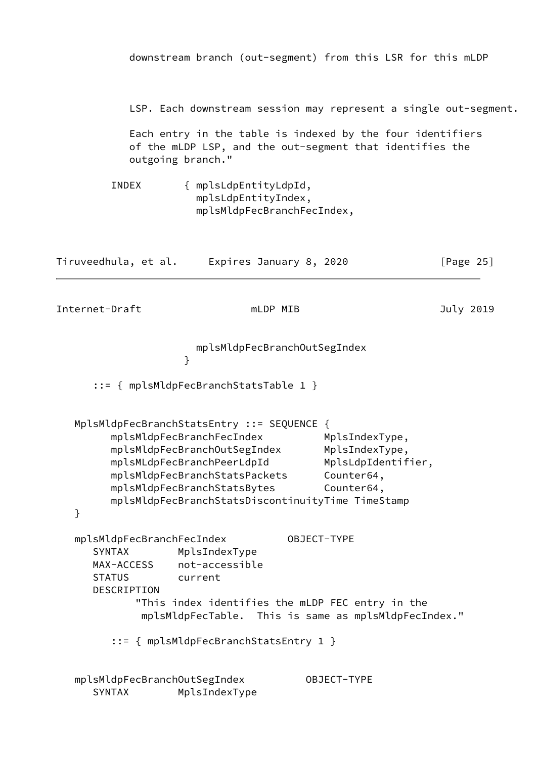|                                                                                          |                                                                                                                                                                                                       | downstream branch (out-segment) from this LSR for this mLDP                                                                                                                                |              |
|------------------------------------------------------------------------------------------|-------------------------------------------------------------------------------------------------------------------------------------------------------------------------------------------------------|--------------------------------------------------------------------------------------------------------------------------------------------------------------------------------------------|--------------|
| outgoing branch."                                                                        |                                                                                                                                                                                                       | LSP. Each downstream session may represent a single out-segment.<br>Each entry in the table is indexed by the four identifiers<br>of the mLDP LSP, and the out-segment that identifies the |              |
| INDEX                                                                                    | { mplsLdpEntityLdpId,<br>mplsLdpEntityIndex,<br>mplsMldpFecBranchFecIndex,                                                                                                                            |                                                                                                                                                                                            |              |
| Tiruveedhula, et al.                                                                     | Expires January 8, 2020                                                                                                                                                                               |                                                                                                                                                                                            | [Page $25$ ] |
| Internet-Draft                                                                           | mLDP MIB                                                                                                                                                                                              |                                                                                                                                                                                            | July 2019    |
|                                                                                          | mplsMldpFecBranchOutSegIndex<br>}                                                                                                                                                                     |                                                                                                                                                                                            |              |
|                                                                                          | $::=$ { mplsMldpFecBranchStatsTable 1 }                                                                                                                                                               |                                                                                                                                                                                            |              |
| }                                                                                        | MplsMldpFecBranchStatsEntry ::= SEQUENCE {<br>mplsMldpFecBranchFecIndex<br>mplsMldpFecBranchOutSegIndex<br>mplsMLdpFecBranchPeerLdpId<br>mplsMldpFecBranchStatsPackets<br>mplsMldpFecBranchStatsBytes | MplsIndexType,<br>MplsIndexType,<br>MplsLdpIdentifier,<br>Counter64,<br>Counter64,<br>mplsMldpFecBranchStatsDiscontinuityTime TimeStamp                                                    |              |
| mplsMldpFecBranchFecIndex<br><b>SYNTAX</b><br>MAX-ACCESS<br><b>STATUS</b><br>DESCRIPTION | MplsIndexType<br>not-accessible<br>current                                                                                                                                                            | OBJECT-TYPE<br>"This index identifies the mLDP FEC entry in the<br>mplsMldpFecTable. This is same as mplsMldpFecIndex."                                                                    |              |
|                                                                                          | ::= { mplsMldpFecBranchStatsEntry 1 }                                                                                                                                                                 |                                                                                                                                                                                            |              |
| mplsMldpFecBranchOutSegIndex<br><b>SYNTAX</b>                                            | MplsIndexType                                                                                                                                                                                         | OBJECT-TYPE                                                                                                                                                                                |              |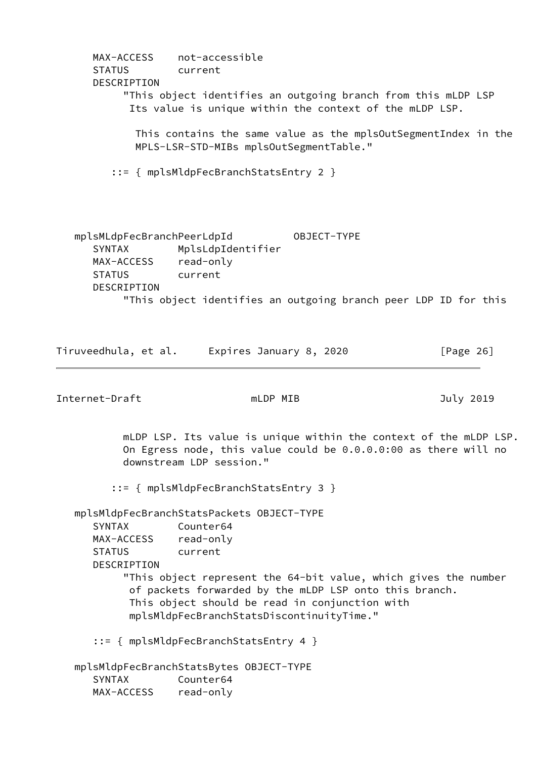MAX-ACCESS not-accessible STATUS current DESCRIPTION "This object identifies an outgoing branch from this mLDP LSP Its value is unique within the context of the mLDP LSP. This contains the same value as the mplsOutSegmentIndex in the MPLS-LSR-STD-MIBs mplsOutSegmentTable." ::= { mplsMldpFecBranchStatsEntry 2 } mplsMLdpFecBranchPeerLdpId OBJECT-TYPE SYNTAX MplsLdpIdentifier MAX-ACCESS read-only STATUS current DESCRIPTION "This object identifies an outgoing branch peer LDP ID for this

Tiruveedhula, et al. Expires January 8, 2020 [Page 26]

Internet-Draft mLDP MIB and Duly 2019

 mLDP LSP. Its value is unique within the context of the mLDP LSP. On Egress node, this value could be 0.0.0.0:00 as there will no downstream LDP session."

::= { mplsMldpFecBranchStatsEntry 3 }

mplsMldpFecBranchStatsPackets OBJECT-TYPE

 SYNTAX Counter64 MAX-ACCESS read-only STATUS current DESCRIPTION

 "This object represent the 64-bit value, which gives the number of packets forwarded by the mLDP LSP onto this branch. This object should be read in conjunction with mplsMldpFecBranchStatsDiscontinuityTime."

::= { mplsMldpFecBranchStatsEntry 4 }

 mplsMldpFecBranchStatsBytes OBJECT-TYPE SYNTAX Counter64 MAX-ACCESS read-only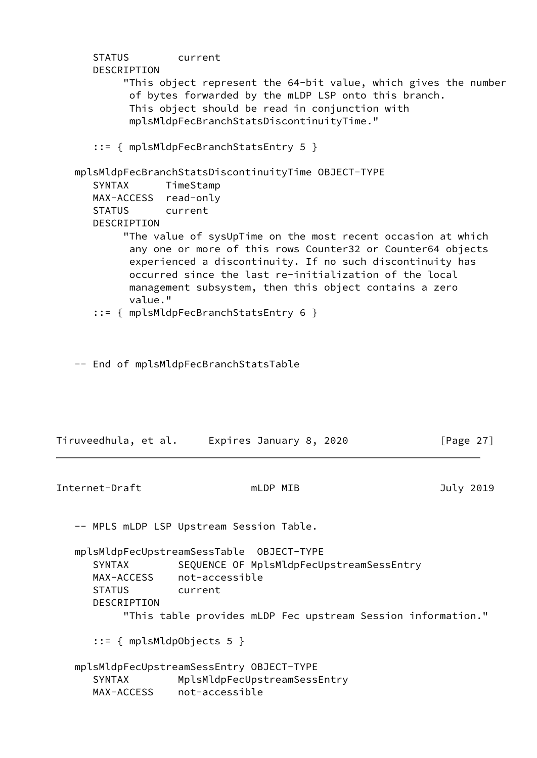```
 STATUS current
       DESCRIPTION
            "This object represent the 64-bit value, which gives the number
             of bytes forwarded by the mLDP LSP onto this branch.
             This object should be read in conjunction with
             mplsMldpFecBranchStatsDiscontinuityTime."
       ::= { mplsMldpFecBranchStatsEntry 5 }
    mplsMldpFecBranchStatsDiscontinuityTime OBJECT-TYPE
       SYNTAX TimeStamp
       MAX-ACCESS read-only
       STATUS current
       DESCRIPTION
            "The value of sysUpTime on the most recent occasion at which
             any one or more of this rows Counter32 or Counter64 objects
             experienced a discontinuity. If no such discontinuity has
             occurred since the last re-initialization of the local
             management subsystem, then this object contains a zero
             value."
       ::= { mplsMldpFecBranchStatsEntry 6 }
    -- End of mplsMldpFecBranchStatsTable
Tiruveedhula, et al. Expires January 8, 2020 [Page 27]
Internet-Draft mLDP MIB and must be a must be a state of the set of the set of the set of the set of the set o
    -- MPLS mLDP LSP Upstream Session Table.
    mplsMldpFecUpstreamSessTable OBJECT-TYPE
       SYNTAX SEQUENCE OF MplsMldpFecUpstreamSessEntry
      MAX-ACCESS not-accessible
       STATUS current
       DESCRIPTION
            "This table provides mLDP Fec upstream Session information."
       ::= { mplsMldpObjects 5 }
    mplsMldpFecUpstreamSessEntry OBJECT-TYPE
      SYNTAX MplsMldpFecUpstreamSessEntry
       MAX-ACCESS not-accessible
```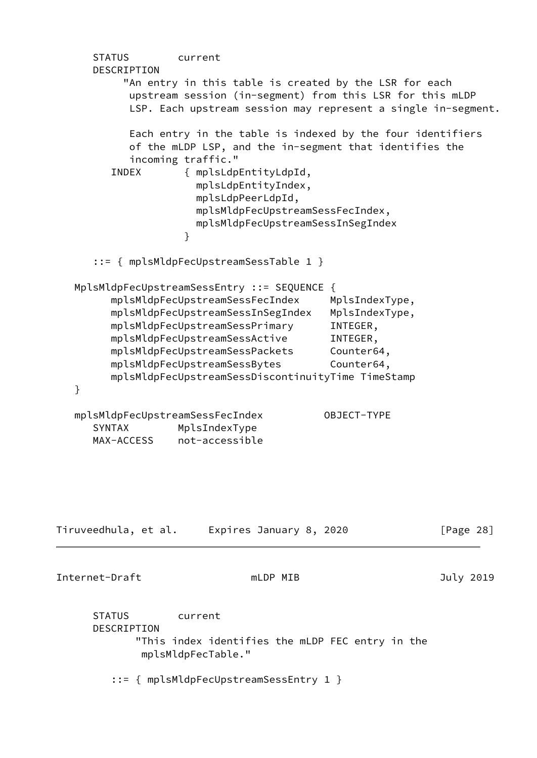STATUS current DESCRIPTION "An entry in this table is created by the LSR for each upstream session (in-segment) from this LSR for this mLDP LSP. Each upstream session may represent a single in-segment. Each entry in the table is indexed by the four identifiers of the mLDP LSP, and the in-segment that identifies the incoming traffic." INDEX { mplsLdpEntityLdpId, mplsLdpEntityIndex, mplsLdpPeerLdpId, mplsMldpFecUpstreamSessFecIndex, mplsMldpFecUpstreamSessInSegIndex } ::= { mplsMldpFecUpstreamSessTable 1 } MplsMldpFecUpstreamSessEntry ::= SEQUENCE { mplsMldpFecUpstreamSessFecIndex MplsIndexType, mplsMldpFecUpstreamSessInSegIndex MplsIndexType, mplsMldpFecUpstreamSessPrimary INTEGER, mplsMldpFecUpstreamSessActive INTEGER, mplsMldpFecUpstreamSessPackets Counter64, mplsMldpFecUpstreamSessBytes Counter64, mplsMldpFecUpstreamSessDiscontinuityTime TimeStamp } mplsMldpFecUpstreamSessFecIndex OBJECT-TYPE SYNTAX MplsIndexType MAX-ACCESS not-accessible Tiruveedhula, et al. Expires January 8, 2020 [Page 28] Internet-Draft mLDP MIB and Duly 2019 STATUS current DESCRIPTION "This index identifies the mLDP FEC entry in the mplsMldpFecTable." ::= { mplsMldpFecUpstreamSessEntry 1 }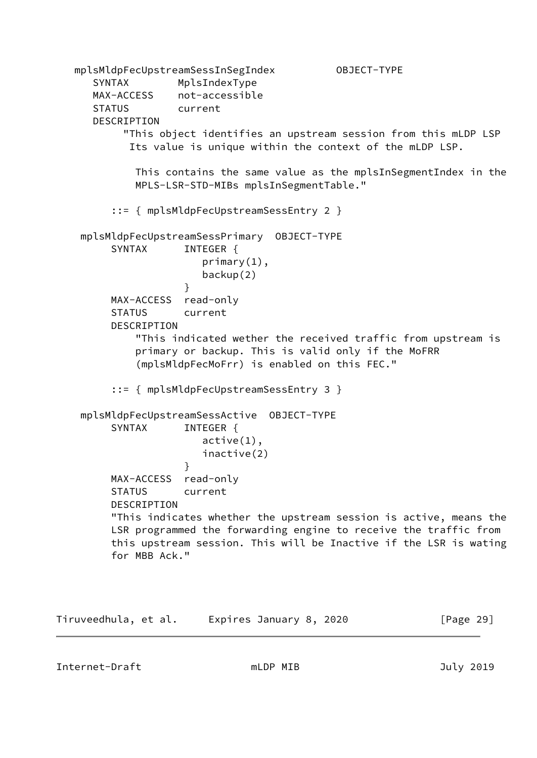```
 mplsMldpFecUpstreamSessInSegIndex OBJECT-TYPE
      SYNTAX MplsIndexType
      MAX-ACCESS not-accessible
      STATUS current
      DESCRIPTION
           "This object identifies an upstream session from this mLDP LSP
            Its value is unique within the context of the mLDP LSP.
             This contains the same value as the mplsInSegmentIndex in the
             MPLS-LSR-STD-MIBs mplsInSegmentTable."
         ::= { mplsMldpFecUpstreamSessEntry 2 }
    mplsMldpFecUpstreamSessPrimary OBJECT-TYPE
        SYNTAX INTEGER {
                        primary(1),
                       backup(2)
 }
         MAX-ACCESS read-only
         STATUS current
         DESCRIPTION
             "This indicated wether the received traffic from upstream is
             primary or backup. This is valid only if the MoFRR
             (mplsMldpFecMoFrr) is enabled on this FEC."
         ::= { mplsMldpFecUpstreamSessEntry 3 }
    mplsMldpFecUpstreamSessActive OBJECT-TYPE
        SYNTAX INTEGER {
                       active(1),
                       inactive(2)
 }
         MAX-ACCESS read-only
         STATUS current
         DESCRIPTION
         "This indicates whether the upstream session is active, means the
         LSR programmed the forwarding engine to receive the traffic from
         this upstream session. This will be Inactive if the LSR is wating
         for MBB Ack."
```
Tiruveedhula, et al. Expires January 8, 2020 [Page 29]

Internet-Draft mLDP MIB and Duly 2019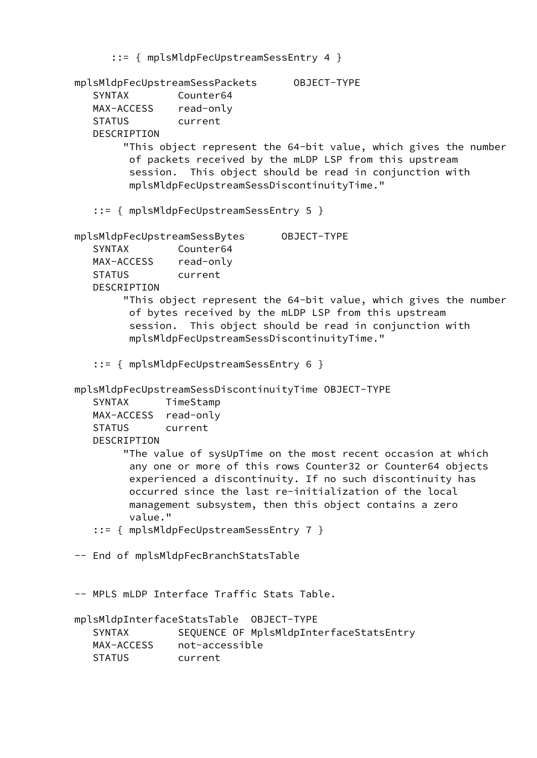```
 ::= { mplsMldpFecUpstreamSessEntry 4 }
 mplsMldpFecUpstreamSessPackets OBJECT-TYPE
    SYNTAX Counter64
   MAX-ACCESS read-only
   STATUS current
   DESCRIPTION
         "This object represent the 64-bit value, which gives the number
         of packets received by the mLDP LSP from this upstream
         session. This object should be read in conjunction with
         mplsMldpFecUpstreamSessDiscontinuityTime."
    ::= { mplsMldpFecUpstreamSessEntry 5 }
 mplsMldpFecUpstreamSessBytes OBJECT-TYPE
   SYNTAX Counter64
   MAX-ACCESS read-only
   STATUS current
   DESCRIPTION
         "This object represent the 64-bit value, which gives the number
         of bytes received by the mLDP LSP from this upstream
         session. This object should be read in conjunction with
         mplsMldpFecUpstreamSessDiscontinuityTime."
    ::= { mplsMldpFecUpstreamSessEntry 6 }
 mplsMldpFecUpstreamSessDiscontinuityTime OBJECT-TYPE
    SYNTAX TimeStamp
   MAX-ACCESS read-only
   STATUS current
   DESCRIPTION
         "The value of sysUpTime on the most recent occasion at which
         any one or more of this rows Counter32 or Counter64 objects
         experienced a discontinuity. If no such discontinuity has
         occurred since the last re-initialization of the local
         management subsystem, then this object contains a zero
         value."
    ::= { mplsMldpFecUpstreamSessEntry 7 }
 -- End of mplsMldpFecBranchStatsTable
 -- MPLS mLDP Interface Traffic Stats Table.
 mplsMldpInterfaceStatsTable OBJECT-TYPE
   SYNTAX SEQUENCE OF MplsMldpInterfaceStatsEntry
   MAX-ACCESS not-accessible
   STATUS current
```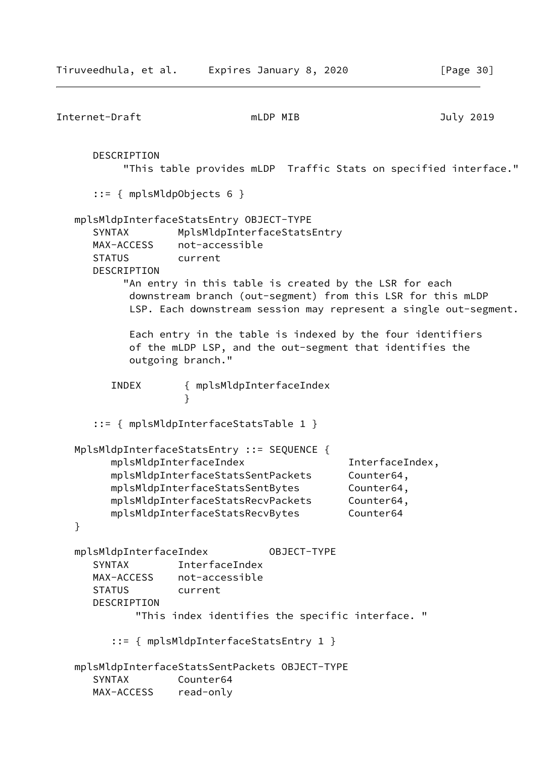Internet-Draft mLDP MIB and must be a must be defined a more in the set of the set of the set of the set of th DESCRIPTION "This table provides mLDP Traffic Stats on specified interface." ::= { mplsMldpObjects 6 } mplsMldpInterfaceStatsEntry OBJECT-TYPE SYNTAX MplsMldpInterfaceStatsEntry MAX-ACCESS not-accessible STATUS current DESCRIPTION "An entry in this table is created by the LSR for each downstream branch (out-segment) from this LSR for this mLDP LSP. Each downstream session may represent a single out-segment. Each entry in the table is indexed by the four identifiers of the mLDP LSP, and the out-segment that identifies the outgoing branch." INDEX { mplsMldpInterfaceIndex } ::= { mplsMldpInterfaceStatsTable 1 } MplsMldpInterfaceStatsEntry ::= SEQUENCE { mplsMldpInterfaceIndex InterfaceIndex, mplsMldpInterfaceStatsSentPackets Counter64, mplsMldpInterfaceStatsSentBytes Counter64, mplsMldpInterfaceStatsRecvPackets Counter64, mplsMldpInterfaceStatsRecvBytes Counter64 } mplsMldpInterfaceIndex OBJECT-TYPE SYNTAX InterfaceIndex MAX-ACCESS not-accessible STATUS current DESCRIPTION "This index identifies the specific interface. " ::= { mplsMldpInterfaceStatsEntry 1 } mplsMldpInterfaceStatsSentPackets OBJECT-TYPE SYNTAX Counter64 MAX-ACCESS read-only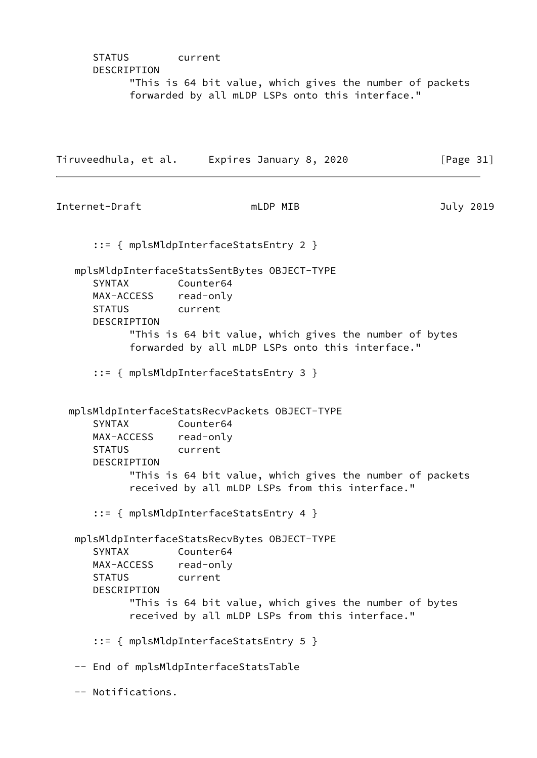STATUS current DESCRIPTION "This is 64 bit value, which gives the number of packets forwarded by all mLDP LSPs onto this interface."

Tiruveedhula, et al. Expires January 8, 2020 [Page 31]

Internet-Draft mLDP MIB July 2019 ::= { mplsMldpInterfaceStatsEntry 2 } mplsMldpInterfaceStatsSentBytes OBJECT-TYPE SYNTAX Counter64 MAX-ACCESS read-only STATUS current DESCRIPTION "This is 64 bit value, which gives the number of bytes forwarded by all mLDP LSPs onto this interface." ::= { mplsMldpInterfaceStatsEntry 3 } mplsMldpInterfaceStatsRecvPackets OBJECT-TYPE SYNTAX Counter64 MAX-ACCESS read-only STATUS current DESCRIPTION "This is 64 bit value, which gives the number of packets received by all mLDP LSPs from this interface." ::= { mplsMldpInterfaceStatsEntry 4 } mplsMldpInterfaceStatsRecvBytes OBJECT-TYPE SYNTAX Counter64 MAX-ACCESS read-only STATUS current DESCRIPTION "This is 64 bit value, which gives the number of bytes received by all mLDP LSPs from this interface." ::= { mplsMldpInterfaceStatsEntry 5 } -- End of mplsMldpInterfaceStatsTable -- Notifications.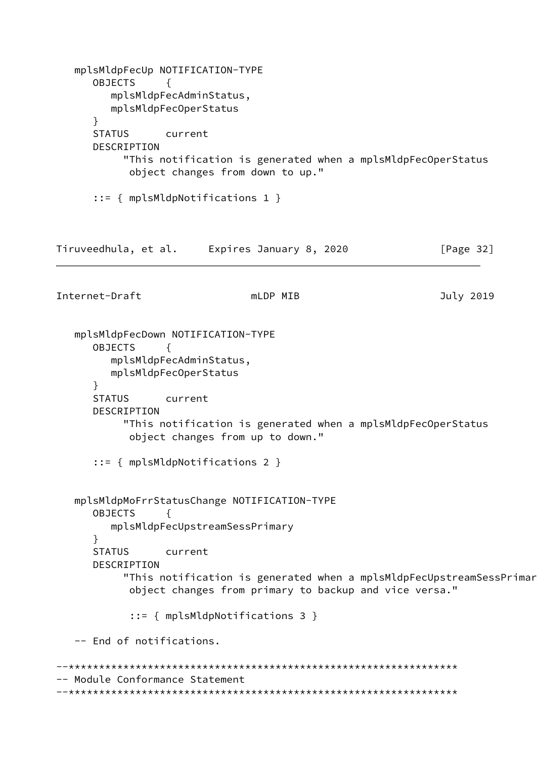```
 mplsMldpFecUp NOTIFICATION-TYPE
       OBJECTS {
          mplsMldpFecAdminStatus,
          mplsMldpFecOperStatus
       }
       STATUS current
       DESCRIPTION
            "This notification is generated when a mplsMldpFecOperStatus
             object changes from down to up."
       ::= { mplsMldpNotifications 1 }
Tiruveedhula, et al. Expires January 8, 2020 [Page 32]
Internet-Draft mLDP MIB and must be a must be a must be a must be a must be a must be a must be a must be a mu
    mplsMldpFecDown NOTIFICATION-TYPE
       OBJECTS {
          mplsMldpFecAdminStatus,
          mplsMldpFecOperStatus
       }
       STATUS current
       DESCRIPTION
            "This notification is generated when a mplsMldpFecOperStatus
             object changes from up to down."
       ::= { mplsMldpNotifications 2 }
    mplsMldpMoFrrStatusChange NOTIFICATION-TYPE
       OBJECTS {
          mplsMldpFecUpstreamSessPrimary
       }
       STATUS current
       DESCRIPTION
           "This notification is generated when a mplsMldpFecUpstreamSessPrimar
             object changes from primary to backup and vice versa."
             ::= { mplsMldpNotifications 3 }
    -- End of notifications.
--****************************************************************
-- Module Conformance Statement
--****************************************************************
```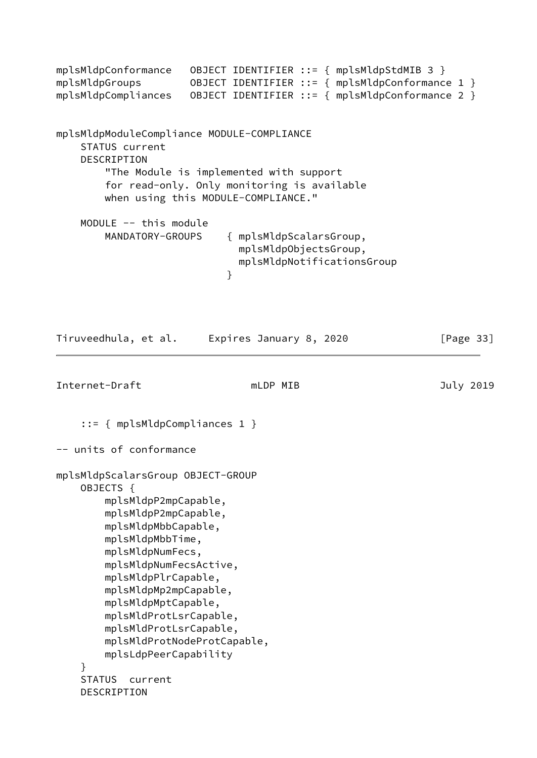```
mplsMldpConformance OBJECT IDENTIFIER ::= { mplsMldpStdMIB 3 }
mplsMldpGroups 0BJECT IDENTIFIER ::= { mplsMldpConformance 1 }
mplsMldpCompliances OBJECT IDENTIFIER ::= { mplsMldpConformance 2 }
mplsMldpModuleCompliance MODULE-COMPLIANCE
     STATUS current
     DESCRIPTION
         "The Module is implemented with support
         for read-only. Only monitoring is available
         when using this MODULE-COMPLIANCE."
     MODULE -- this module
         MANDATORY-GROUPS { mplsMldpScalarsGroup,
                               mplsMldpObjectsGroup,
                               mplsMldpNotificationsGroup
 }
Tiruveedhula, et al. Expires January 8, 2020 [Page 33]
Internet-Draft mLDP MIB and must be a must be defined a more in the set of the set of the set of the set of th
     ::= { mplsMldpCompliances 1 }
-- units of conformance
mplsMldpScalarsGroup OBJECT-GROUP
     OBJECTS {
         mplsMldpP2mpCapable,
         mplsMldpP2mpCapable,
         mplsMldpMbbCapable,
         mplsMldpMbbTime,
         mplsMldpNumFecs,
         mplsMldpNumFecsActive,
         mplsMldpPlrCapable,
         mplsMldpMp2mpCapable,
         mplsMldpMptCapable,
         mplsMldProtLsrCapable,
         mplsMldProtLsrCapable,
         mplsMldProtNodeProtCapable,
         mplsLdpPeerCapability
     }
     STATUS current
     DESCRIPTION
```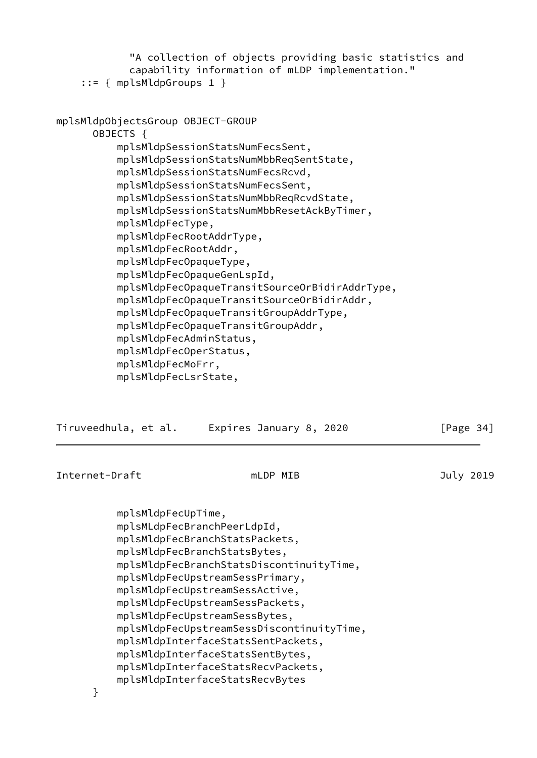|                | mplsMldpFecUpTime,                                                                                                                                                                                                                                                               | mplsMLdpFecBranchPeerLdpId,<br>mplsMldpFecBranchStatsPackets,<br>mplsMldpFecBranchStatsBytes,<br>mplsMldpFecBranchStatsDiscontinuityTime,<br>mplsMldpFecUpstreamSessPrimary,<br>mplsMldpFecUpstreamSessActive,                                                                                                                                                                                                               |  |              |  |
|----------------|----------------------------------------------------------------------------------------------------------------------------------------------------------------------------------------------------------------------------------------------------------------------------------|------------------------------------------------------------------------------------------------------------------------------------------------------------------------------------------------------------------------------------------------------------------------------------------------------------------------------------------------------------------------------------------------------------------------------|--|--------------|--|
| Internet-Draft |                                                                                                                                                                                                                                                                                  | mLDP MIB                                                                                                                                                                                                                                                                                                                                                                                                                     |  | July 2019    |  |
|                | Tiruveedhula, et al.                                                                                                                                                                                                                                                             | Expires January 8, 2020                                                                                                                                                                                                                                                                                                                                                                                                      |  | [Page $34$ ] |  |
|                | mplsMldpObjectsGroup OBJECT-GROUP<br>OBJECTS {<br>mplsMldpFecType,<br>mplsMldpFecRootAddrType,<br>mplsMldpFecRootAddr,<br>mplsMldpFecOpaqueType,<br>mplsMldpFecOpaqueGenLspId,<br>mplsMldpFecAdminStatus,<br>mplsMldpFecOperStatus,<br>mplsMldpFecMoFrr,<br>mplsMldpFecLsrState, | mplsMldpSessionStatsNumFecsSent,<br>mplsMldpSessionStatsNumMbbReqSentState,<br>mplsMldpSessionStatsNumFecsRcvd,<br>mplsMldpSessionStatsNumFecsSent,<br>mplsMldpSessionStatsNumMbbReqRcvdState,<br>mplsMldpSessionStatsNumMbbResetAckByTimer,<br>mplsMldpFecOpaqueTransitSourceOrBidirAddrType,<br>mplsMldpFecOpaqueTransitSourceOrBidirAddr,<br>mplsMldpFecOpaqueTransitGroupAddrType,<br>mplsMldpFecOpaqueTransitGroupAddr, |  |              |  |
|                | $::=$ { mplsMldpGroups 1 }                                                                                                                                                                                                                                                       | "A collection of objects providing basic statistics and<br>capability information of mLDP implementation."                                                                                                                                                                                                                                                                                                                   |  |              |  |

<span id="page-38-0"></span> mplsMldpFecUpstreamSessPackets, mplsMldpFecUpstreamSessBytes,

 mplsMldpInterfaceStatsSentPackets, mplsMldpInterfaceStatsSentBytes, mplsMldpInterfaceStatsRecvPackets, mplsMldpInterfaceStatsRecvBytes

mplsMldpFecUpstreamSessDiscontinuityTime,

}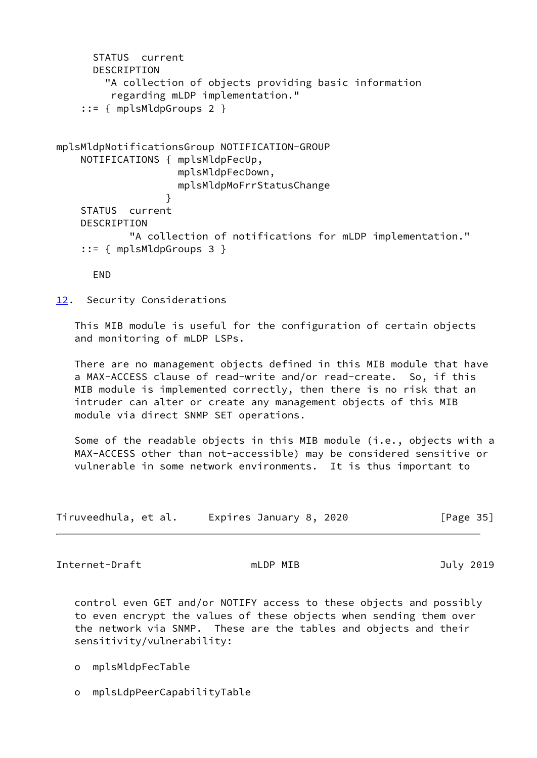```
 STATUS current
       DESCRIPTION
         "A collection of objects providing basic information
          regarding mLDP implementation."
     ::= { mplsMldpGroups 2 }
mplsMldpNotificationsGroup NOTIFICATION-GROUP
     NOTIFICATIONS { mplsMldpFecUp,
                     mplsMldpFecDown,
                     mplsMldpMoFrrStatusChange
 }
     STATUS current
     DESCRIPTION
             "A collection of notifications for mLDP implementation."
     ::= { mplsMldpGroups 3 }
      END
12. Security Considerations
   This MIB module is useful for the configuration of certain objects
    and monitoring of mLDP LSPs.
   There are no management objects defined in this MIB module that have
    a MAX-ACCESS clause of read-write and/or read-create. So, if this
   MIB module is implemented correctly, then there is no risk that an
    intruder can alter or create any management objects of this MIB
    module via direct SNMP SET operations.
```
<span id="page-39-0"></span>Some of the readable objects in this MIB module (i.e., objects with a MAX-ACCESS other than not-accessible) may be considered sensitive or vulnerable in some network environments. It is thus important to

| Tiruveedhula, et al. | Expires January 8, 2020 | [Page 35] |
|----------------------|-------------------------|-----------|
|----------------------|-------------------------|-----------|

Internet-Draft mLDP MIB and Duly 2019

 control even GET and/or NOTIFY access to these objects and possibly to even encrypt the values of these objects when sending them over the network via SNMP. These are the tables and objects and their sensitivity/vulnerability:

- o mplsMldpFecTable
- o mplsLdpPeerCapabilityTable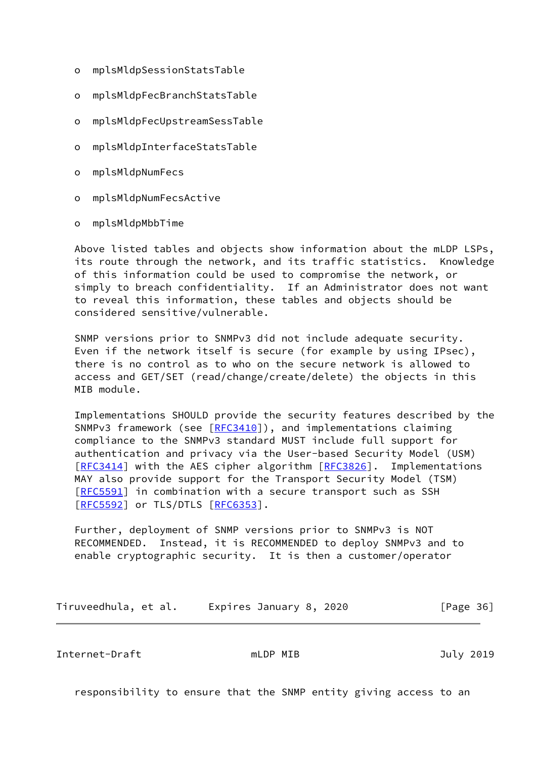- o mplsMldpSessionStatsTable
- o mplsMldpFecBranchStatsTable
- o mplsMldpFecUpstreamSessTable
- o mplsMldpInterfaceStatsTable
- o mplsMldpNumFecs
- o mplsMldpNumFecsActive
- o mplsMldpMbbTime

 Above listed tables and objects show information about the mLDP LSPs, its route through the network, and its traffic statistics. Knowledge of this information could be used to compromise the network, or simply to breach confidentiality. If an Administrator does not want to reveal this information, these tables and objects should be considered sensitive/vulnerable.

 SNMP versions prior to SNMPv3 did not include adequate security. Even if the network itself is secure (for example by using IPsec), there is no control as to who on the secure network is allowed to access and GET/SET (read/change/create/delete) the objects in this MIB module.

 Implementations SHOULD provide the security features described by the SNMPv3 framework (see [[RFC3410](https://datatracker.ietf.org/doc/pdf/rfc3410)]), and implementations claiming compliance to the SNMPv3 standard MUST include full support for authentication and privacy via the User-based Security Model (USM) [\[RFC3414](https://datatracker.ietf.org/doc/pdf/rfc3414)] with the AES cipher algorithm [\[RFC3826](https://datatracker.ietf.org/doc/pdf/rfc3826)]. Implementations MAY also provide support for the Transport Security Model (TSM) [\[RFC5591](https://datatracker.ietf.org/doc/pdf/rfc5591)] in combination with a secure transport such as SSH [\[RFC5592](https://datatracker.ietf.org/doc/pdf/rfc5592)] or TLS/DTLS [[RFC6353](https://datatracker.ietf.org/doc/pdf/rfc6353)].

 Further, deployment of SNMP versions prior to SNMPv3 is NOT RECOMMENDED. Instead, it is RECOMMENDED to deploy SNMPv3 and to enable cryptographic security. It is then a customer/operator

Tiruveedhula, et al. Expires January 8, 2020 [Page 36]

<span id="page-40-0"></span>Internet-Draft mLDP MIB July 2019

responsibility to ensure that the SNMP entity giving access to an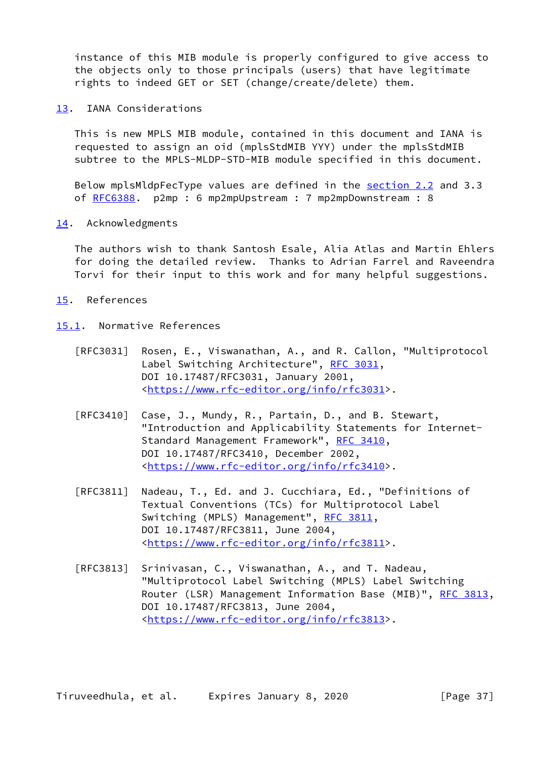instance of this MIB module is properly configured to give access to the objects only to those principals (users) that have legitimate rights to indeed GET or SET (change/create/delete) them.

<span id="page-41-0"></span>[13.](#page-41-0) IANA Considerations

 This is new MPLS MIB module, contained in this document and IANA is requested to assign an oid (mplsStdMIB YYY) under the mplsStdMIB subtree to the MPLS-MLDP-STD-MIB module specified in this document.

 Below mplsMldpFecType values are defined in the section 2.2 and 3.3 of [RFC6388](https://datatracker.ietf.org/doc/pdf/rfc6388). p2mp : 6 mp2mpUpstream : 7 mp2mpDownstream : 8

<span id="page-41-1"></span>[14.](#page-41-1) Acknowledgments

 The authors wish to thank Santosh Esale, Alia Atlas and Martin Ehlers for doing the detailed review. Thanks to Adrian Farrel and Raveendra Torvi for their input to this work and for many helpful suggestions.

- <span id="page-41-2"></span>[15.](#page-41-2) References
- <span id="page-41-3"></span>[15.1](#page-41-3). Normative References
	- [RFC3031] Rosen, E., Viswanathan, A., and R. Callon, "Multiprotocol Label Switching Architecture", [RFC 3031](https://datatracker.ietf.org/doc/pdf/rfc3031), DOI 10.17487/RFC3031, January 2001, <[https://www.rfc-editor.org/info/rfc3031>](https://www.rfc-editor.org/info/rfc3031).
	- [RFC3410] Case, J., Mundy, R., Partain, D., and B. Stewart, "Introduction and Applicability Statements for Internet- Standard Management Framework", [RFC 3410,](https://datatracker.ietf.org/doc/pdf/rfc3410) DOI 10.17487/RFC3410, December 2002, <[https://www.rfc-editor.org/info/rfc3410>](https://www.rfc-editor.org/info/rfc3410).
	- [RFC3811] Nadeau, T., Ed. and J. Cucchiara, Ed., "Definitions of Textual Conventions (TCs) for Multiprotocol Label Switching (MPLS) Management", [RFC 3811](https://datatracker.ietf.org/doc/pdf/rfc3811), DOI 10.17487/RFC3811, June 2004, <[https://www.rfc-editor.org/info/rfc3811>](https://www.rfc-editor.org/info/rfc3811).
	- [RFC3813] Srinivasan, C., Viswanathan, A., and T. Nadeau, "Multiprotocol Label Switching (MPLS) Label Switching Router (LSR) Management Information Base (MIB)", [RFC 3813,](https://datatracker.ietf.org/doc/pdf/rfc3813) DOI 10.17487/RFC3813, June 2004, <[https://www.rfc-editor.org/info/rfc3813>](https://www.rfc-editor.org/info/rfc3813).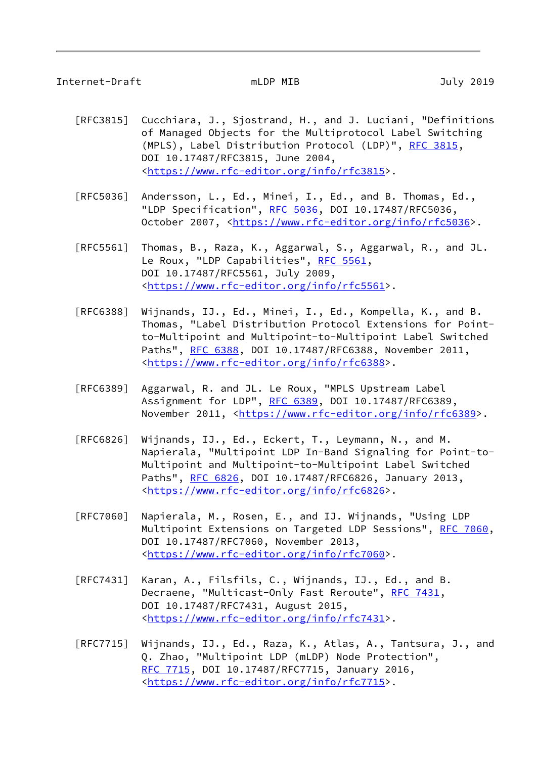### Internet-Draft mLDP MIB July 2019

- [RFC3815] Cucchiara, J., Sjostrand, H., and J. Luciani, "Definitions of Managed Objects for the Multiprotocol Label Switching (MPLS), Label Distribution Protocol (LDP)", [RFC 3815,](https://datatracker.ietf.org/doc/pdf/rfc3815) DOI 10.17487/RFC3815, June 2004, <[https://www.rfc-editor.org/info/rfc3815>](https://www.rfc-editor.org/info/rfc3815).
- [RFC5036] Andersson, L., Ed., Minei, I., Ed., and B. Thomas, Ed., "LDP Specification", [RFC 5036](https://datatracker.ietf.org/doc/pdf/rfc5036), DOI 10.17487/RFC5036, October 2007, [<https://www.rfc-editor.org/info/rfc5036](https://www.rfc-editor.org/info/rfc5036)>.
- [RFC5561] Thomas, B., Raza, K., Aggarwal, S., Aggarwal, R., and JL. Le Roux, "LDP Capabilities", [RFC 5561](https://datatracker.ietf.org/doc/pdf/rfc5561), DOI 10.17487/RFC5561, July 2009, <[https://www.rfc-editor.org/info/rfc5561>](https://www.rfc-editor.org/info/rfc5561).
- [RFC6388] Wijnands, IJ., Ed., Minei, I., Ed., Kompella, K., and B. Thomas, "Label Distribution Protocol Extensions for Point to-Multipoint and Multipoint-to-Multipoint Label Switched Paths", [RFC 6388,](https://datatracker.ietf.org/doc/pdf/rfc6388) DOI 10.17487/RFC6388, November 2011, <[https://www.rfc-editor.org/info/rfc6388>](https://www.rfc-editor.org/info/rfc6388).
- [RFC6389] Aggarwal, R. and JL. Le Roux, "MPLS Upstream Label Assignment for LDP", [RFC 6389](https://datatracker.ietf.org/doc/pdf/rfc6389), DOI 10.17487/RFC6389, November 2011, <<https://www.rfc-editor.org/info/rfc6389>>.
- [RFC6826] Wijnands, IJ., Ed., Eckert, T., Leymann, N., and M. Napierala, "Multipoint LDP In-Band Signaling for Point-to- Multipoint and Multipoint-to-Multipoint Label Switched Paths", [RFC 6826,](https://datatracker.ietf.org/doc/pdf/rfc6826) DOI 10.17487/RFC6826, January 2013, <[https://www.rfc-editor.org/info/rfc6826>](https://www.rfc-editor.org/info/rfc6826).
- [RFC7060] Napierala, M., Rosen, E., and IJ. Wijnands, "Using LDP Multipoint Extensions on Targeted LDP Sessions", [RFC 7060,](https://datatracker.ietf.org/doc/pdf/rfc7060) DOI 10.17487/RFC7060, November 2013, <[https://www.rfc-editor.org/info/rfc7060>](https://www.rfc-editor.org/info/rfc7060).
- [RFC7431] Karan, A., Filsfils, C., Wijnands, IJ., Ed., and B. Decraene, "Multicast-Only Fast Reroute", [RFC 7431,](https://datatracker.ietf.org/doc/pdf/rfc7431) DOI 10.17487/RFC7431, August 2015, <[https://www.rfc-editor.org/info/rfc7431>](https://www.rfc-editor.org/info/rfc7431).
- [RFC7715] Wijnands, IJ., Ed., Raza, K., Atlas, A., Tantsura, J., and Q. Zhao, "Multipoint LDP (mLDP) Node Protection", [RFC 7715,](https://datatracker.ietf.org/doc/pdf/rfc7715) DOI 10.17487/RFC7715, January 2016, <[https://www.rfc-editor.org/info/rfc7715>](https://www.rfc-editor.org/info/rfc7715).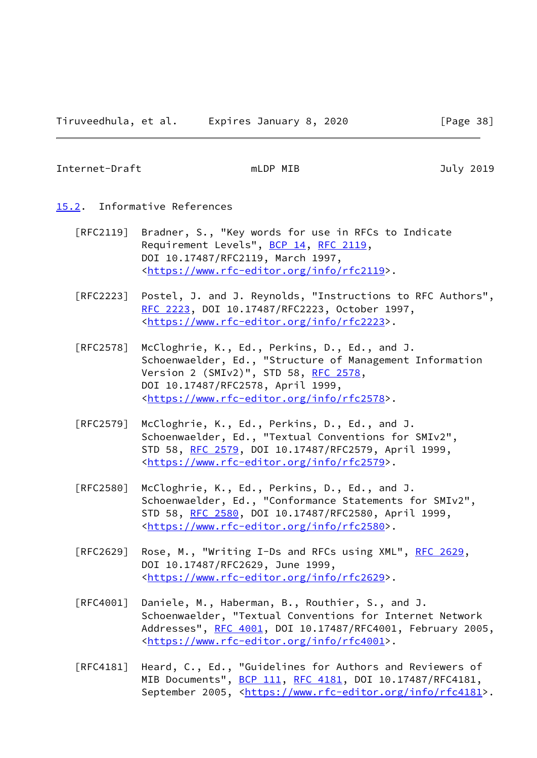<span id="page-43-1"></span>Internet-Draft mLDP MIB July 2019

- <span id="page-43-0"></span>[15.2](#page-43-0). Informative References
	- [RFC2119] Bradner, S., "Key words for use in RFCs to Indicate Requirement Levels", [BCP 14](https://datatracker.ietf.org/doc/pdf/bcp14), [RFC 2119](https://datatracker.ietf.org/doc/pdf/rfc2119), DOI 10.17487/RFC2119, March 1997, <[https://www.rfc-editor.org/info/rfc2119>](https://www.rfc-editor.org/info/rfc2119).
	- [RFC2223] Postel, J. and J. Reynolds, "Instructions to RFC Authors", [RFC 2223,](https://datatracker.ietf.org/doc/pdf/rfc2223) DOI 10.17487/RFC2223, October 1997, <[https://www.rfc-editor.org/info/rfc2223>](https://www.rfc-editor.org/info/rfc2223).
	- [RFC2578] McCloghrie, K., Ed., Perkins, D., Ed., and J. Schoenwaelder, Ed., "Structure of Management Information Version 2 (SMIv2)", STD 58, [RFC 2578,](https://datatracker.ietf.org/doc/pdf/rfc2578) DOI 10.17487/RFC2578, April 1999, <[https://www.rfc-editor.org/info/rfc2578>](https://www.rfc-editor.org/info/rfc2578).
	- [RFC2579] McCloghrie, K., Ed., Perkins, D., Ed., and J. Schoenwaelder, Ed., "Textual Conventions for SMIv2", STD 58, [RFC 2579,](https://datatracker.ietf.org/doc/pdf/rfc2579) DOI 10.17487/RFC2579, April 1999, <[https://www.rfc-editor.org/info/rfc2579>](https://www.rfc-editor.org/info/rfc2579).
	- [RFC2580] McCloghrie, K., Ed., Perkins, D., Ed., and J. Schoenwaelder, Ed., "Conformance Statements for SMIv2", STD 58, [RFC 2580,](https://datatracker.ietf.org/doc/pdf/rfc2580) DOI 10.17487/RFC2580, April 1999, <[https://www.rfc-editor.org/info/rfc2580>](https://www.rfc-editor.org/info/rfc2580).
	- [RFC2629] Rose, M., "Writing I-Ds and RFCs using XML", [RFC 2629](https://datatracker.ietf.org/doc/pdf/rfc2629), DOI 10.17487/RFC2629, June 1999, <[https://www.rfc-editor.org/info/rfc2629>](https://www.rfc-editor.org/info/rfc2629).
	- [RFC4001] Daniele, M., Haberman, B., Routhier, S., and J. Schoenwaelder, "Textual Conventions for Internet Network Addresses", [RFC 4001,](https://datatracker.ietf.org/doc/pdf/rfc4001) DOI 10.17487/RFC4001, February 2005, <[https://www.rfc-editor.org/info/rfc4001>](https://www.rfc-editor.org/info/rfc4001).
	- [RFC4181] Heard, C., Ed., "Guidelines for Authors and Reviewers of MIB Documents", [BCP 111](https://datatracker.ietf.org/doc/pdf/bcp111), [RFC 4181,](https://datatracker.ietf.org/doc/pdf/rfc4181) DOI 10.17487/RFC4181, September 2005, <[https://www.rfc-editor.org/info/rfc4181>](https://www.rfc-editor.org/info/rfc4181).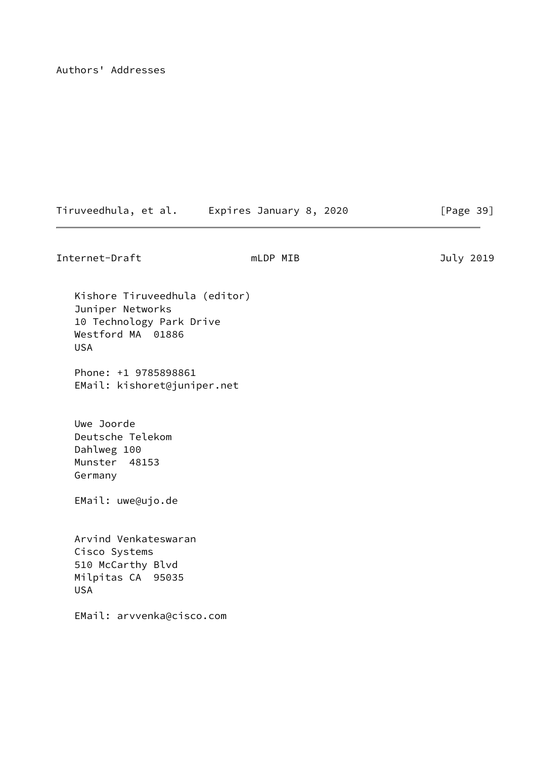Authors' Addresses

| Tiruveedhula, et al. | Expires January 8, 2020 | [Page 39] |
|----------------------|-------------------------|-----------|
|                      |                         |           |

Internet-Draft mLDP MIB and must be a must be a state of the set of the set of the set of the set of the set o

 Kishore Tiruveedhula (editor) Juniper Networks 10 Technology Park Drive Westford MA 01886 USA

 Phone: +1 9785898861 EMail: kishoret@juniper.net

 Uwe Joorde Deutsche Telekom Dahlweg 100 Munster 48153 Germany

EMail: uwe@ujo.de

 Arvind Venkateswaran Cisco Systems 510 McCarthy Blvd Milpitas CA 95035 USA

EMail: arvvenka@cisco.com